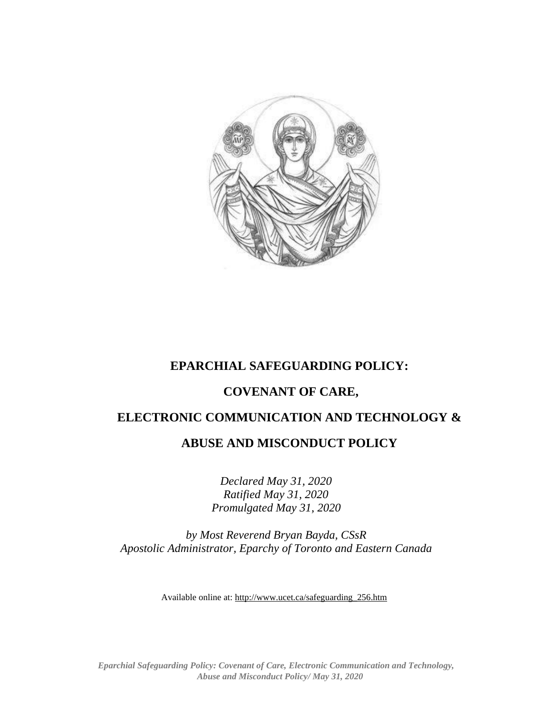

## **EPARCHIAL SAFEGUARDING POLICY:**

## **COVENANT OF CARE,**

## **ELECTRONIC COMMUNICATION AND TECHNOLOGY &**

## **ABUSE AND MISCONDUCT POLICY**

*Declared May 31, 2020 Ratified May 31, 2020 Promulgated May 31, 2020*

*by Most Reverend Bryan Bayda, CSsR Apostolic Administrator, Eparchy of Toronto and Eastern Canada*

Available online at: [http://www.ucet.ca/safeguarding\\_256.htm](http://www.ucet.ca/safeguarding_256.htm)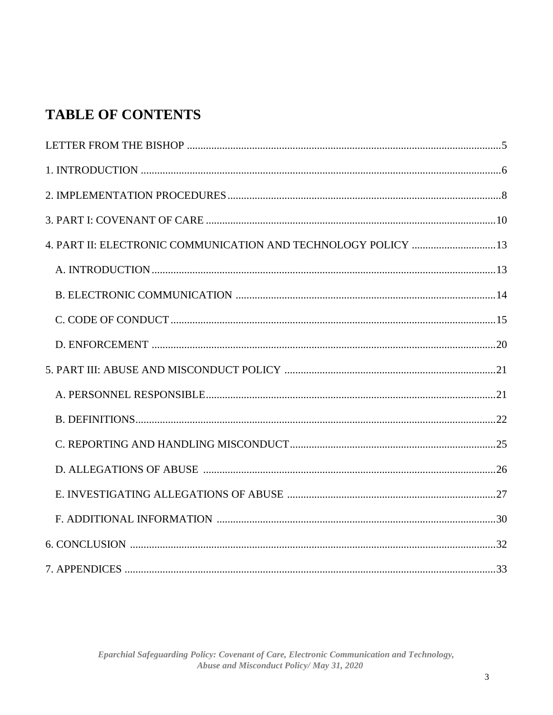# **TABLE OF CONTENTS**

| 4. PART II: ELECTRONIC COMMUNICATION AND TECHNOLOGY POLICY  13 |  |
|----------------------------------------------------------------|--|
|                                                                |  |
|                                                                |  |
|                                                                |  |
|                                                                |  |
|                                                                |  |
|                                                                |  |
|                                                                |  |
|                                                                |  |
|                                                                |  |
|                                                                |  |
|                                                                |  |
|                                                                |  |
|                                                                |  |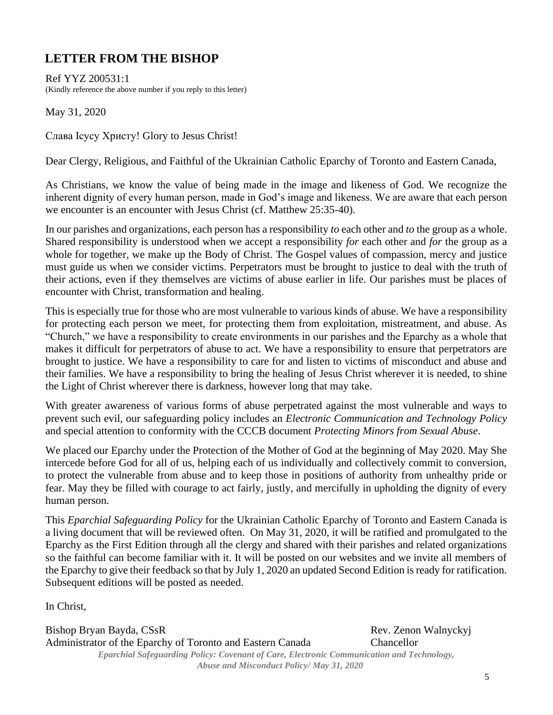# **LETTER FROM THE BISHOP**

Ref YYZ 200531:1 (Kindly reference the above number if you reply to this letter)

May 31, 2020

Слава Ісусу Христу! Glory to Jesus Christ!

Dear Clergy, Religious, and Faithful of the Ukrainian Catholic Eparchy of Toronto and Eastern Canada,

As Christians, we know the value of being made in the image and likeness of God. We recognize the inherent dignity of every human person, made in God's image and likeness. We are aware that each person we encounter is an encounter with Jesus Christ (cf. Matthew 25:35-40).

In our parishes and organizations, each person has a responsibility *to* each other and *to* the group as a whole. Shared responsibility is understood when we accept a responsibility *for* each other and *for* the group as a whole for together, we make up the Body of Christ. The Gospel values of compassion, mercy and justice must guide us when we consider victims. Perpetrators must be brought to justice to deal with the truth of their actions, even if they themselves are victims of abuse earlier in life. Our parishes must be places of encounter with Christ, transformation and healing.

This is especially true for those who are most vulnerable to various kinds of abuse. We have a responsibility for protecting each person we meet, for protecting them from exploitation, mistreatment, and abuse. As "Church," we have a responsibility to create environments in our parishes and the Eparchy as a whole that makes it difficult for perpetrators of abuse to act. We have a responsibility to ensure that perpetrators are brought to justice. We have a responsibility to care for and listen to victims of misconduct and abuse and their families. We have a responsibility to bring the healing of Jesus Christ wherever it is needed, to shine the Light of Christ wherever there is darkness, however long that may take.

With greater awareness of various forms of abuse perpetrated against the most vulnerable and ways to prevent such evil, our safeguarding policy includes an *Electronic Communication and Technology Policy*  and special attention to conformity with the CCCB document *Protecting Minors from Sexual Abuse*.

We placed our Eparchy under the Protection of the Mother of God at the beginning of May 2020. May She intercede before God for all of us, helping each of us individually and collectively commit to conversion, to protect the vulnerable from abuse and to keep those in positions of authority from unhealthy pride or fear. May they be filled with courage to act fairly, justly, and mercifully in upholding the dignity of every human person.

This *Eparchial Safeguarding Policy* for the Ukrainian Catholic Eparchy of Toronto and Eastern Canada is a living document that will be reviewed often. On May 31, 2020, it will be ratified and promulgated to the Eparchy as the First Edition through all the clergy and shared with their parishes and related organizations so the faithful can become familiar with it. It will be posted on our websites and we invite all members of the Eparchy to give their feedback so that by July 1, 2020 an updated Second Edition is ready for ratification. Subsequent editions will be posted as needed.

In Christ,

*Eparchial Safeguarding Policy: Covenant of Care, Electronic Communication and Technology, Abuse and Misconduct Policy/ May 31, 2020* Bishop Bryan Bayda, CSsR Rev. Zenon Walnyckyj Administrator of the Eparchy of Toronto and Eastern Canada Chancellor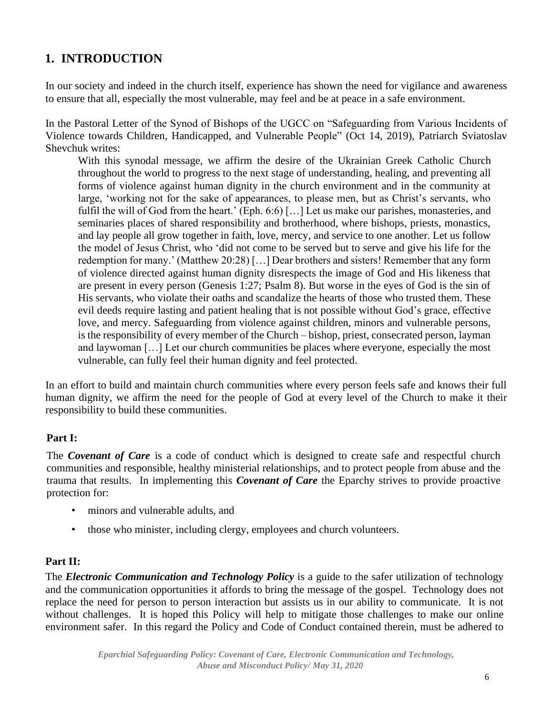## **1. INTRODUCTION**

In our society and indeed in the church itself, experience has shown the need for vigilance and awareness to ensure that all, especially the most vulnerable, may feel and be at peace in a safe environment.

In the Pastoral Letter of the Synod of Bishops of the UGCC on "Safeguarding from Various Incidents of Violence towards Children, Handicapped, and Vulnerable People" (Oct 14, 2019), Patriarch Sviatoslav Shevchuk writes:

With this synodal message, we affirm the desire of the Ukrainian Greek Catholic Church throughout the world to progress to the next stage of understanding, healing, and preventing all forms of violence against human dignity in the church environment and in the community at large, 'working not for the sake of appearances, to please men, but as Christ's servants, who fulfil the will of God from the heart.' (Eph. 6:6) […] Let us make our parishes, monasteries, and seminaries places of shared responsibility and brotherhood, where bishops, priests, monastics, and lay people all grow together in faith, love, mercy, and service to one another. Let us follow the model of Jesus Christ, who 'did not come to be served but to serve and give his life for the redemption for many.' (Matthew 20:28) […] Dear brothers and sisters! Remember that any form of violence directed against human dignity disrespects the image of God and His likeness that are present in every person (Genesis 1:27; Psalm 8). But worse in the eyes of God is the sin of His servants, who violate their oaths and scandalize the hearts of those who trusted them. These evil deeds require lasting and patient healing that is not possible without God's grace, effective love, and mercy. Safeguarding from violence against children, minors and vulnerable persons, is the responsibility of every member of the Church – bishop, priest, consecrated person, layman and laywoman […] Let our church communities be places where everyone, especially the most vulnerable, can fully feel their human dignity and feel protected.

In an effort to build and maintain church communities where every person feels safe and knows their full human dignity, we affirm the need for the people of God at every level of the Church to make it their responsibility to build these communities.

## **Part I:**

The *Covenant of Care* is a code of conduct which is designed to create safe and respectful church communities and responsible, healthy ministerial relationships, and to protect people from abuse and the trauma that results. In implementing this *Covenant of Care* the Eparchy strives to provide proactive protection for:

- minors and vulnerable adults, and
- those who minister, including clergy, employees and church volunteers.

#### **Part II:**

The *Electronic Communication and Technology Policy* is a guide to the safer utilization of technology and the communication opportunities it affords to bring the message of the gospel. Technology does not replace the need for person to person interaction but assists us in our ability to communicate. It is not without challenges. It is hoped this Policy will help to mitigate those challenges to make our online environment safer. In this regard the Policy and Code of Conduct contained therein, must be adhered to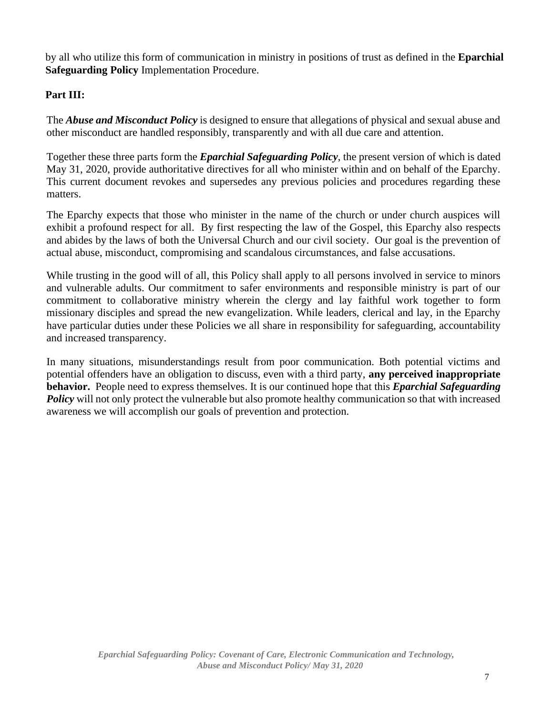by all who utilize this form of communication in ministry in positions of trust as defined in the **Eparchial Safeguarding Policy** Implementation Procedure.

## **Part III:**

The *Abuse and Misconduct Policy* is designed to ensure that allegations of physical and sexual abuse and other misconduct are handled responsibly, transparently and with all due care and attention.

Together these three parts form the *Eparchial Safeguarding Policy*, the present version of which is dated May 31, 2020, provide authoritative directives for all who minister within and on behalf of the Eparchy. This current document revokes and supersedes any previous policies and procedures regarding these matters.

The Eparchy expects that those who minister in the name of the church or under church auspices will exhibit a profound respect for all. By first respecting the law of the Gospel, this Eparchy also respects and abides by the laws of both the Universal Church and our civil society. Our goal is the prevention of actual abuse, misconduct, compromising and scandalous circumstances, and false accusations.

While trusting in the good will of all, this Policy shall apply to all persons involved in service to minors and vulnerable adults. Our commitment to safer environments and responsible ministry is part of our commitment to collaborative ministry wherein the clergy and lay faithful work together to form missionary disciples and spread the new evangelization. While leaders, clerical and lay, in the Eparchy have particular duties under these Policies we all share in responsibility for safeguarding, accountability and increased transparency.

In many situations, misunderstandings result from poor communication. Both potential victims and potential offenders have an obligation to discuss, even with a third party, **any perceived inappropriate behavior.** People need to express themselves. It is our continued hope that this *Eparchial Safeguarding*  **Policy** will not only protect the vulnerable but also promote healthy communication so that with increased awareness we will accomplish our goals of prevention and protection.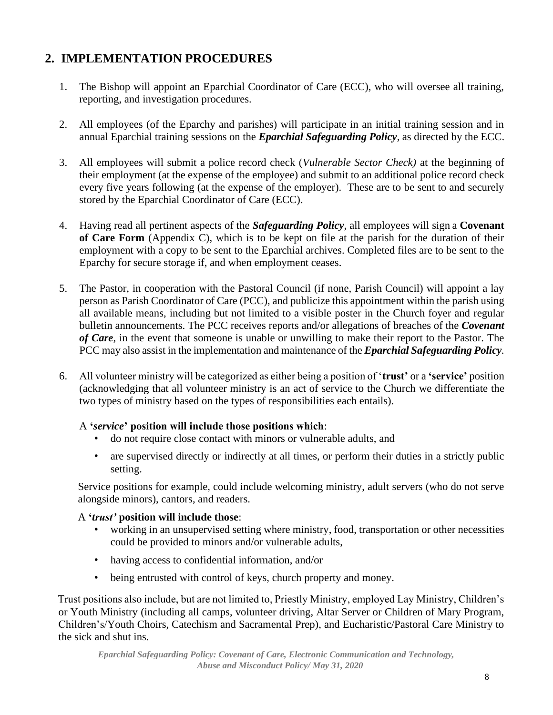## **2. IMPLEMENTATION PROCEDURES**

- 1. The Bishop will appoint an Eparchial Coordinator of Care (ECC), who will oversee all training, reporting, and investigation procedures.
- 2. All employees (of the Eparchy and parishes) will participate in an initial training session and in annual Eparchial training sessions on the *Eparchial Safeguarding Policy,* as directed by the ECC.
- 3. All employees will submit a police record check (*Vulnerable Sector Check)* at the beginning of their employment (at the expense of the employee) and submit to an additional police record check every five years following (at the expense of the employer). These are to be sent to and securely stored by the Eparchial Coordinator of Care (ECC).
- 4. Having read all pertinent aspects of the *Safeguarding Policy,* all employees will sign a **Covenant of Care Form** (Appendix C), which is to be kept on file at the parish for the duration of their employment with a copy to be sent to the Eparchial archives. Completed files are to be sent to the Eparchy for secure storage if, and when employment ceases.
- 5. The Pastor, in cooperation with the Pastoral Council (if none, Parish Council) will appoint a lay person as Parish Coordinator of Care (PCC), and publicize this appointment within the parish using all available means, including but not limited to a visible poster in the Church foyer and regular bulletin announcements. The PCC receives reports and/or allegations of breaches of the *Covenant of Care,* in the event that someone is unable or unwilling to make their report to the Pastor. The PCC may also assist in the implementation and maintenance of the *Eparchial Safeguarding Policy.*
- 6. All volunteer ministry will be categorized as either being a position of '**trust'** or a **'service'** position (acknowledging that all volunteer ministry is an act of service to the Church we differentiate the two types of ministry based on the types of responsibilities each entails).

#### A **'***service***' position will include those positions which**:

- do not require close contact with minors or vulnerable adults, and
- are supervised directly or indirectly at all times, or perform their duties in a strictly public setting.

Service positions for example, could include welcoming ministry, adult servers (who do not serve alongside minors), cantors, and readers.

#### A **'***trust'* **position will include those**:

- working in an unsupervised setting where ministry, food, transportation or other necessities could be provided to minors and/or vulnerable adults,
- having access to confidential information, and/or
- being entrusted with control of keys, church property and money.

Trust positions also include, but are not limited to, Priestly Ministry, employed Lay Ministry, Children's or Youth Ministry (including all camps, volunteer driving, Altar Server or Children of Mary Program, Children's/Youth Choirs, Catechism and Sacramental Prep), and Eucharistic/Pastoral Care Ministry to the sick and shut ins.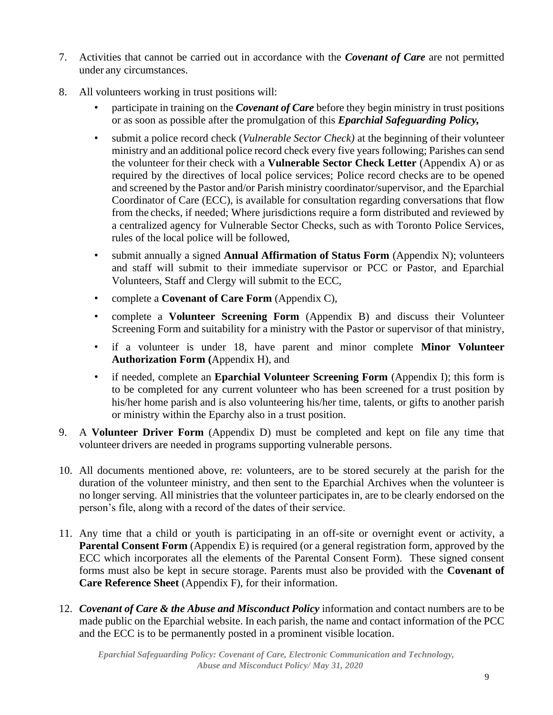- 7. Activities that cannot be carried out in accordance with the *Covenant of Care* are not permitted under any circumstances.
- 8. All volunteers working in trust positions will:
	- participate in training on the *Covenant of Care* before they begin ministry in trust positions or as soon as possible after the promulgation of this *Eparchial Safeguarding Policy,*
	- submit a police record check (*Vulnerable Sector Check)* at the beginning of their volunteer ministry and an additional police record check every five years following; Parishes can send the volunteer for their check with a **Vulnerable Sector Check Letter** (Appendix A) or as required by the directives of local police services; Police record checks are to be opened and screened by the Pastor and/or Parish ministry coordinator/supervisor, and the Eparchial Coordinator of Care (ECC), is available for consultation regarding conversations that flow from the checks, if needed; Where jurisdictions require a form distributed and reviewed by a centralized agency for Vulnerable Sector Checks, such as with Toronto Police Services, rules of the local police will be followed,
	- submit annually a signed **Annual Affirmation of Status Form** (Appendix N); volunteers and staff will submit to their immediate supervisor or PCC or Pastor, and Eparchial Volunteers, Staff and Clergy will submit to the ECC,
	- complete a **Covenant of Care Form** (Appendix C),
	- complete a **Volunteer Screening Form** (Appendix B) and discuss their Volunteer Screening Form and suitability for a ministry with the Pastor or supervisor of that ministry,
	- if a volunteer is under 18, have parent and minor complete **Minor Volunteer Authorization Form (**Appendix H), and
	- if needed, complete an **Eparchial Volunteer Screening Form** (Appendix I); this form is to be completed for any current volunteer who has been screened for a trust position by his/her home parish and is also volunteering his/her time, talents, or gifts to another parish or ministry within the Eparchy also in a trust position.
- 9. A **Volunteer Driver Form** (Appendix D) must be completed and kept on file any time that volunteer drivers are needed in programs supporting vulnerable persons.
- 10. All documents mentioned above, re: volunteers, are to be stored securely at the parish for the duration of the volunteer ministry, and then sent to the Eparchial Archives when the volunteer is no longer serving. All ministries that the volunteer participates in, are to be clearly endorsed on the person's file, along with a record of the dates of their service.
- 11. Any time that a child or youth is participating in an off-site or overnight event or activity, a **Parental Consent Form** (Appendix E) is required (or a general registration form, approved by the ECC which incorporates all the elements of the Parental Consent Form). These signed consent forms must also be kept in secure storage. Parents must also be provided with the **Covenant of Care Reference Sheet** (Appendix F), for their information.
- 12. *Covenant of Care & the Abuse and Misconduct Policy* information and contact numbers are to be made public on the Eparchial website. In each parish, the name and contact information of the PCC and the ECC is to be permanently posted in a prominent visible location.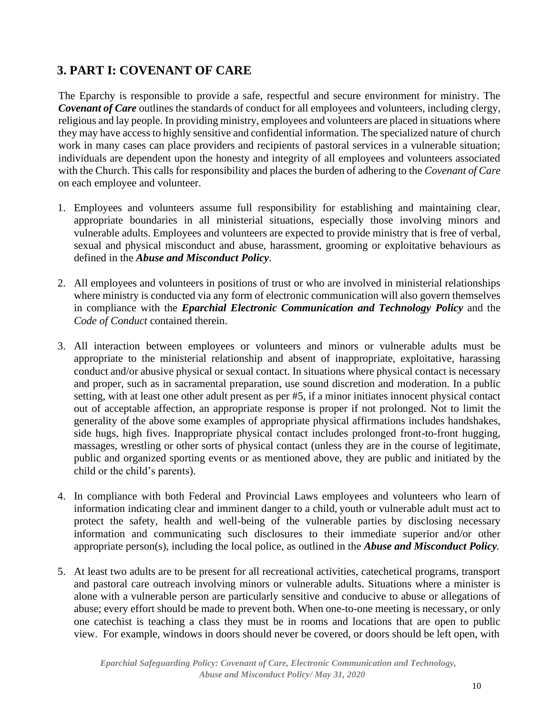## **3. PART I: COVENANT OF CARE**

The Eparchy is responsible to provide a safe, respectful and secure environment for ministry. The *Covenant of Care* outlines the standards of conduct for all employees and volunteers, including clergy, religious and lay people. In providing ministry, employees and volunteers are placed in situations where they may have access to highly sensitive and confidential information. The specialized nature of church work in many cases can place providers and recipients of pastoral services in a vulnerable situation; individuals are dependent upon the honesty and integrity of all employees and volunteers associated with the Church. This calls for responsibility and places the burden of adhering to the *Covenant of Care* on each employee and volunteer.

- 1. Employees and volunteers assume full responsibility for establishing and maintaining clear, appropriate boundaries in all ministerial situations, especially those involving minors and vulnerable adults. Employees and volunteers are expected to provide ministry that is free of verbal, sexual and physical misconduct and abuse, harassment, grooming or exploitative behaviours as defined in the *Abuse and Misconduct Policy*.
- 2. All employees and volunteers in positions of trust or who are involved in ministerial relationships where ministry is conducted via any form of electronic communication will also govern themselves in compliance with the *Eparchial Electronic Communication and Technology Policy* and the *Code of Conduct* contained therein.
- 3. All interaction between employees or volunteers and minors or vulnerable adults must be appropriate to the ministerial relationship and absent of inappropriate, exploitative, harassing conduct and/or abusive physical or sexual contact. In situations where physical contact is necessary and proper, such as in sacramental preparation, use sound discretion and moderation. In a public setting, with at least one other adult present as per #5, if a minor initiates innocent physical contact out of acceptable affection, an appropriate response is proper if not prolonged. Not to limit the generality of the above some examples of appropriate physical affirmations includes handshakes, side hugs, high fives. Inappropriate physical contact includes prolonged front-to-front hugging, massages, wrestling or other sorts of physical contact (unless they are in the course of legitimate, public and organized sporting events or as mentioned above, they are public and initiated by the child or the child's parents).
- 4. In compliance with both Federal and Provincial Laws employees and volunteers who learn of information indicating clear and imminent danger to a child, youth or vulnerable adult must act to protect the safety, health and well-being of the vulnerable parties by disclosing necessary information and communicating such disclosures to their immediate superior and/or other appropriate person(s), including the local police, as outlined in the *Abuse and Misconduct Policy.*
- 5. At least two adults are to be present for all recreational activities, catechetical programs, transport and pastoral care outreach involving minors or vulnerable adults. Situations where a minister is alone with a vulnerable person are particularly sensitive and conducive to abuse or allegations of abuse; every effort should be made to prevent both. When one-to-one meeting is necessary, or only one catechist is teaching a class they must be in rooms and locations that are open to public view. For example, windows in doors should never be covered, or doors should be left open, with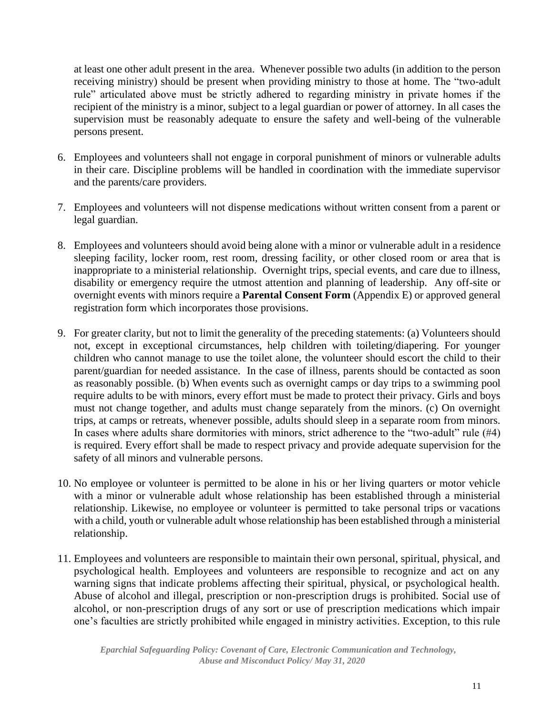at least one other adult present in the area. Whenever possible two adults (in addition to the person receiving ministry) should be present when providing ministry to those at home. The "two-adult rule" articulated above must be strictly adhered to regarding ministry in private homes if the recipient of the ministry is a minor, subject to a legal guardian or power of attorney. In all cases the supervision must be reasonably adequate to ensure the safety and well-being of the vulnerable persons present.

- 6. Employees and volunteers shall not engage in corporal punishment of minors or vulnerable adults in their care. Discipline problems will be handled in coordination with the immediate supervisor and the parents/care providers.
- 7. Employees and volunteers will not dispense medications without written consent from a parent or legal guardian.
- 8. Employees and volunteers should avoid being alone with a minor or vulnerable adult in a residence sleeping facility, locker room, rest room, dressing facility, or other closed room or area that is inappropriate to a ministerial relationship. Overnight trips, special events, and care due to illness, disability or emergency require the utmost attention and planning of leadership. Any off-site or overnight events with minors require a **Parental Consent Form** (Appendix E) or approved general registration form which incorporates those provisions.
- 9. For greater clarity, but not to limit the generality of the preceding statements: (a) Volunteers should not, except in exceptional circumstances, help children with toileting/diapering. For younger children who cannot manage to use the toilet alone, the volunteer should escort the child to their parent/guardian for needed assistance. In the case of illness, parents should be contacted as soon as reasonably possible. (b) When events such as overnight camps or day trips to a swimming pool require adults to be with minors, every effort must be made to protect their privacy. Girls and boys must not change together, and adults must change separately from the minors. (c) On overnight trips, at camps or retreats, whenever possible, adults should sleep in a separate room from minors. In cases where adults share dormitories with minors, strict adherence to the "two-adult" rule (#4) is required. Every effort shall be made to respect privacy and provide adequate supervision for the safety of all minors and vulnerable persons.
- 10. No employee or volunteer is permitted to be alone in his or her living quarters or motor vehicle with a minor or vulnerable adult whose relationship has been established through a ministerial relationship. Likewise, no employee or volunteer is permitted to take personal trips or vacations with a child, youth or vulnerable adult whose relationship has been established through a ministerial relationship.
- 11. Employees and volunteers are responsible to maintain their own personal, spiritual, physical, and psychological health. Employees and volunteers are responsible to recognize and act on any warning signs that indicate problems affecting their spiritual, physical, or psychological health. Abuse of alcohol and illegal, prescription or non-prescription drugs is prohibited. Social use of alcohol, or non-prescription drugs of any sort or use of prescription medications which impair one's faculties are strictly prohibited while engaged in ministry activities. Exception, to this rule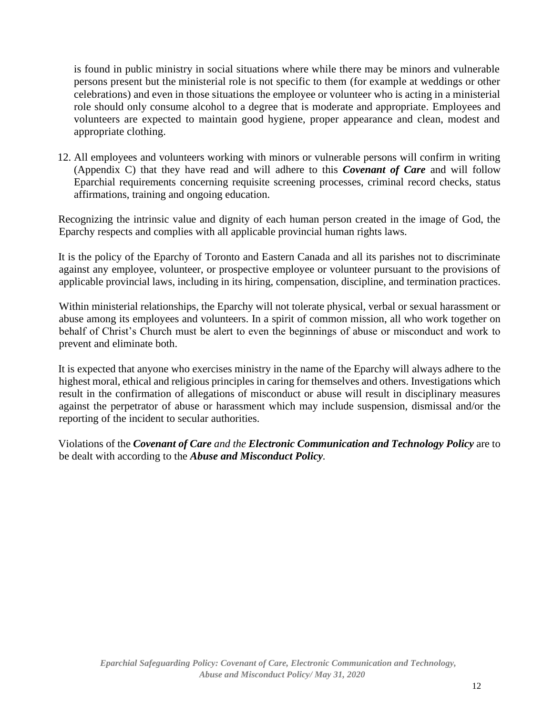is found in public ministry in social situations where while there may be minors and vulnerable persons present but the ministerial role is not specific to them (for example at weddings or other celebrations) and even in those situations the employee or volunteer who is acting in a ministerial role should only consume alcohol to a degree that is moderate and appropriate. Employees and volunteers are expected to maintain good hygiene, proper appearance and clean, modest and appropriate clothing.

12. All employees and volunteers working with minors or vulnerable persons will confirm in writing (Appendix C) that they have read and will adhere to this *Covenant of Care* and will follow Eparchial requirements concerning requisite screening processes, criminal record checks, status affirmations, training and ongoing education.

Recognizing the intrinsic value and dignity of each human person created in the image of God, the Eparchy respects and complies with all applicable provincial human rights laws.

It is the policy of the Eparchy of Toronto and Eastern Canada and all its parishes not to discriminate against any employee, volunteer, or prospective employee or volunteer pursuant to the provisions of applicable provincial laws, including in its hiring, compensation, discipline, and termination practices.

Within ministerial relationships, the Eparchy will not tolerate physical, verbal or sexual harassment or abuse among its employees and volunteers. In a spirit of common mission, all who work together on behalf of Christ's Church must be alert to even the beginnings of abuse or misconduct and work to prevent and eliminate both.

It is expected that anyone who exercises ministry in the name of the Eparchy will always adhere to the highest moral, ethical and religious principles in caring for themselves and others. Investigations which result in the confirmation of allegations of misconduct or abuse will result in disciplinary measures against the perpetrator of abuse or harassment which may include suspension, dismissal and/or the reporting of the incident to secular authorities.

Violations of the *Covenant of Care and the Electronic Communication and Technology Policy* are to be dealt with according to the *Abuse and Misconduct Policy.*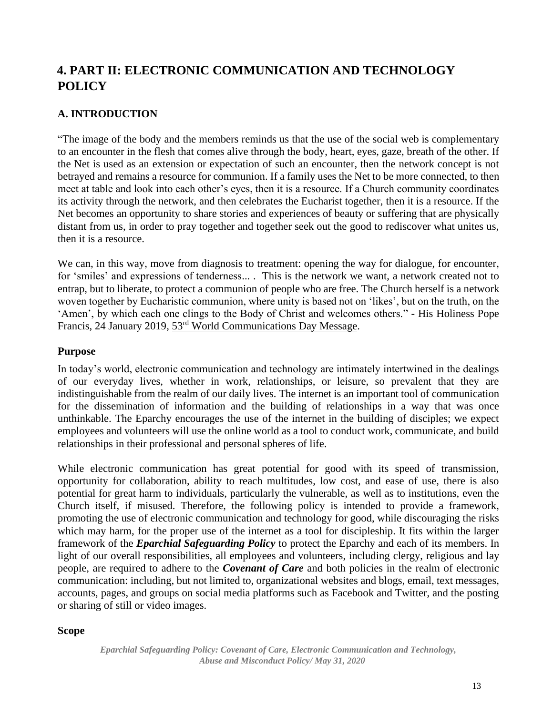## **4. PART II: ELECTRONIC COMMUNICATION AND TECHNOLOGY POLICY**

## **A. INTRODUCTION**

"The image of the body and the members reminds us that the use of the social web is complementary to an encounter in the flesh that comes alive through the body, heart, eyes, gaze, breath of the other. If the Net is used as an extension or expectation of such an encounter, then the network concept is not betrayed and remains a resource for communion. If a family uses the Net to be more connected, to then meet at table and look into each other's eyes, then it is a resource. If a Church community coordinates its activity through the network, and then celebrates the Eucharist together, then it is a resource. If the Net becomes an opportunity to share stories and experiences of beauty or suffering that are physically distant from us, in order to pray together and together seek out the good to rediscover what unites us, then it is a resource.

We can, in this way, move from diagnosis to treatment: opening the way for dialogue, for encounter, for 'smiles' and expressions of tenderness... . This is the network we want, a network created not to entrap, but to liberate, to protect a communion of people who are free. The Church herself is a network woven together by Eucharistic communion, where unity is based not on 'likes', but on the truth, on the 'Amen', by which each one clings to the Body of Christ and welcomes others." - His Holiness Pope Francis, 24 January 2019, 53rd [World Communications Day Message.](http://www.vatican.va/content/francesco/en/messages/communications/documents/papa-francesco_20190124_messaggio-comunicazioni-sociali.html)

#### **Purpose**

In today's world, electronic communication and technology are intimately intertwined in the dealings of our everyday lives, whether in work, relationships, or leisure, so prevalent that they are indistinguishable from the realm of our daily lives. The internet is an important tool of communication for the dissemination of information and the building of relationships in a way that was once unthinkable. The Eparchy encourages the use of the internet in the building of disciples; we expect employees and volunteers will use the online world as a tool to conduct work, communicate, and build relationships in their professional and personal spheres of life.

While electronic communication has great potential for good with its speed of transmission, opportunity for collaboration, ability to reach multitudes, low cost, and ease of use, there is also potential for great harm to individuals, particularly the vulnerable, as well as to institutions, even the Church itself, if misused. Therefore, the following policy is intended to provide a framework, promoting the use of electronic communication and technology for good, while discouraging the risks which may harm, for the proper use of the internet as a tool for discipleship. It fits within the larger framework of the *Eparchial Safeguarding Policy* to protect the Eparchy and each of its members. In light of our overall responsibilities, all employees and volunteers, including clergy, religious and lay people, are required to adhere to the *Covenant of Care* and both policies in the realm of electronic communication: including, but not limited to, organizational websites and blogs, email, text messages, accounts, pages, and groups on social media platforms such as Facebook and Twitter, and the posting or sharing of still or video images.

#### **Scope**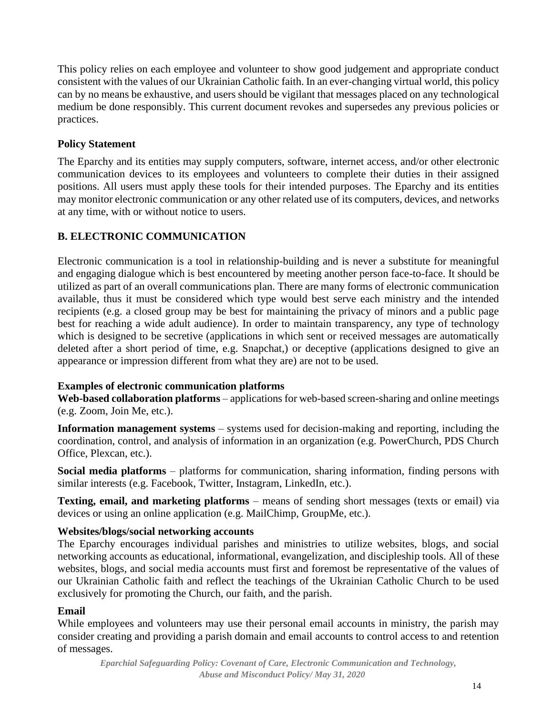This policy relies on each employee and volunteer to show good judgement and appropriate conduct consistent with the values of our Ukrainian Catholic faith. In an ever-changing virtual world, this policy can by no means be exhaustive, and users should be vigilant that messages placed on any technological medium be done responsibly. This current document revokes and supersedes any previous policies or practices.

#### **Policy Statement**

The Eparchy and its entities may supply computers, software, internet access, and/or other electronic communication devices to its employees and volunteers to complete their duties in their assigned positions. All users must apply these tools for their intended purposes. The Eparchy and its entities may monitor electronic communication or any other related use of its computers, devices, and networks at any time, with or without notice to users.

## **B. ELECTRONIC COMMUNICATION**

Electronic communication is a tool in relationship-building and is never a substitute for meaningful and engaging dialogue which is best encountered by meeting another person face-to-face. It should be utilized as part of an overall communications plan. There are many forms of electronic communication available, thus it must be considered which type would best serve each ministry and the intended recipients (e.g. a closed group may be best for maintaining the privacy of minors and a public page best for reaching a wide adult audience). In order to maintain transparency, any type of technology which is designed to be secretive (applications in which sent or received messages are automatically deleted after a short period of time, e.g. Snapchat,) or deceptive (applications designed to give an appearance or impression different from what they are) are not to be used.

#### **Examples of electronic communication platforms**

**Web-based collaboration platforms** – applications for web-based screen-sharing and online meetings (e.g. Zoom, Join Me, etc.).

**Information management systems** – systems used for decision-making and reporting, including the coordination, control, and analysis of information in an organization (e.g. PowerChurch, PDS Church Office, Plexcan, etc.).

**Social media platforms** – platforms for communication, sharing information, finding persons with similar interests (e.g. Facebook, Twitter, Instagram, LinkedIn, etc.).

**Texting, email, and marketing platforms** – means of sending short messages (texts or email) via devices or using an online application (e.g. MailChimp, GroupMe, etc.).

## **Websites/blogs/social networking accounts**

The Eparchy encourages individual parishes and ministries to utilize websites, blogs, and social networking accounts as educational, informational, evangelization, and discipleship tools. All of these websites, blogs, and social media accounts must first and foremost be representative of the values of our Ukrainian Catholic faith and reflect the teachings of the Ukrainian Catholic Church to be used exclusively for promoting the Church, our faith, and the parish.

## **Email**

While employees and volunteers may use their personal email accounts in ministry, the parish may consider creating and providing a parish domain and email accounts to control access to and retention of messages.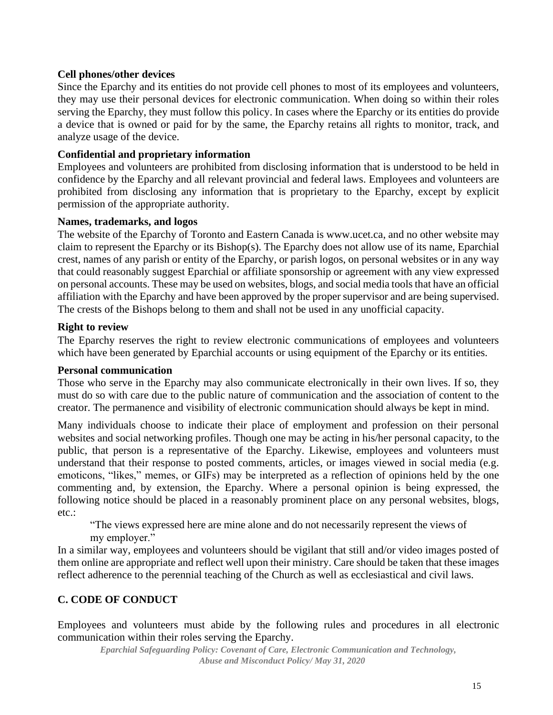#### **Cell phones/other devices**

Since the Eparchy and its entities do not provide cell phones to most of its employees and volunteers, they may use their personal devices for electronic communication. When doing so within their roles serving the Eparchy, they must follow this policy. In cases where the Eparchy or its entities do provide a device that is owned or paid for by the same, the Eparchy retains all rights to monitor, track, and analyze usage of the device.

#### **Confidential and proprietary information**

Employees and volunteers are prohibited from disclosing information that is understood to be held in confidence by the Eparchy and all relevant provincial and federal laws. Employees and volunteers are prohibited from disclosing any information that is proprietary to the Eparchy, except by explicit permission of the appropriate authority.

#### **Names, trademarks, and logos**

The website of the Eparchy of Toronto and Eastern Canada is www.ucet.ca, and no other website may claim to represent the Eparchy or its Bishop(s). The Eparchy does not allow use of its name, Eparchial crest, names of any parish or entity of the Eparchy, or parish logos, on personal websites or in any way that could reasonably suggest Eparchial or affiliate sponsorship or agreement with any view expressed on personal accounts. These may be used on websites, blogs, and social media tools that have an official affiliation with the Eparchy and have been approved by the proper supervisor and are being supervised. The crests of the Bishops belong to them and shall not be used in any unofficial capacity.

#### **Right to review**

The Eparchy reserves the right to review electronic communications of employees and volunteers which have been generated by Eparchial accounts or using equipment of the Eparchy or its entities.

#### **Personal communication**

Those who serve in the Eparchy may also communicate electronically in their own lives. If so, they must do so with care due to the public nature of communication and the association of content to the creator. The permanence and visibility of electronic communication should always be kept in mind.

Many individuals choose to indicate their place of employment and profession on their personal websites and social networking profiles. Though one may be acting in his/her personal capacity, to the public, that person is a representative of the Eparchy. Likewise, employees and volunteers must understand that their response to posted comments, articles, or images viewed in social media (e.g. emoticons, "likes," memes, or GIFs) may be interpreted as a reflection of opinions held by the one commenting and, by extension, the Eparchy. Where a personal opinion is being expressed, the following notice should be placed in a reasonably prominent place on any personal websites, blogs, etc.:

"The views expressed here are mine alone and do not necessarily represent the views of my employer."

In a similar way, employees and volunteers should be vigilant that still and/or video images posted of them online are appropriate and reflect well upon their ministry. Care should be taken that these images reflect adherence to the perennial teaching of the Church as well as ecclesiastical and civil laws.

## **C. CODE OF CONDUCT**

Employees and volunteers must abide by the following rules and procedures in all electronic communication within their roles serving the Eparchy.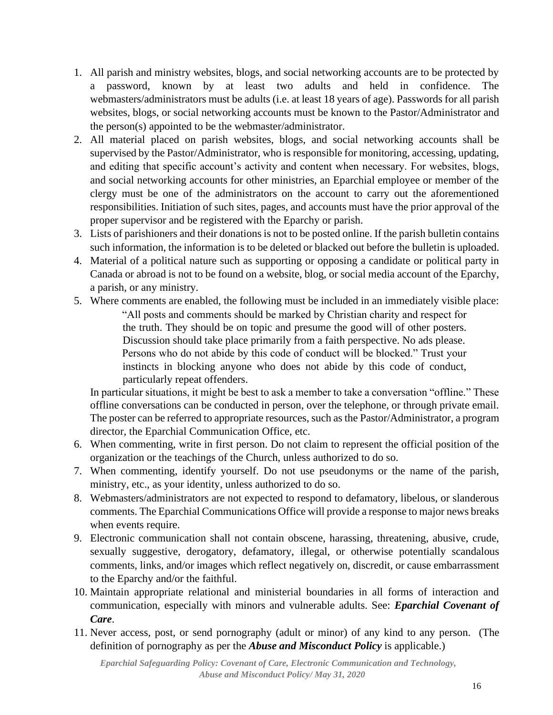- 1. All parish and ministry websites, blogs, and social networking accounts are to be protected by a password, known by at least two adults and held in confidence. The webmasters/administrators must be adults (i.e. at least 18 years of age). Passwords for all parish websites, blogs, or social networking accounts must be known to the Pastor/Administrator and the person(s) appointed to be the webmaster/administrator.
- 2. All material placed on parish websites, blogs, and social networking accounts shall be supervised by the Pastor/Administrator, who is responsible for monitoring, accessing, updating, and editing that specific account's activity and content when necessary. For websites, blogs, and social networking accounts for other ministries, an Eparchial employee or member of the clergy must be one of the administrators on the account to carry out the aforementioned responsibilities. Initiation of such sites, pages, and accounts must have the prior approval of the proper supervisor and be registered with the Eparchy or parish.
- 3. Lists of parishioners and their donations is not to be posted online. If the parish bulletin contains such information, the information is to be deleted or blacked out before the bulletin is uploaded.
- 4. Material of a political nature such as supporting or opposing a candidate or political party in Canada or abroad is not to be found on a website, blog, or social media account of the Eparchy, a parish, or any ministry.
- 5. Where comments are enabled, the following must be included in an immediately visible place: "All posts and comments should be marked by Christian charity and respect for the truth. They should be on topic and presume the good will of other posters. Discussion should take place primarily from a faith perspective. No ads please. Persons who do not abide by this code of conduct will be blocked." Trust your instincts in blocking anyone who does not abide by this code of conduct, particularly repeat offenders.

In particular situations, it might be best to ask a member to take a conversation "offline." These offline conversations can be conducted in person, over the telephone, or through private email. The poster can be referred to appropriate resources, such as the Pastor/Administrator, a program director, the Eparchial Communication Office, etc.

- 6. When commenting, write in first person. Do not claim to represent the official position of the organization or the teachings of the Church, unless authorized to do so.
- 7. When commenting, identify yourself. Do not use pseudonyms or the name of the parish, ministry, etc., as your identity, unless authorized to do so.
- 8. Webmasters/administrators are not expected to respond to defamatory, libelous, or slanderous comments. The Eparchial Communications Office will provide a response to major news breaks when events require.
- 9. Electronic communication shall not contain obscene, harassing, threatening, abusive, crude, sexually suggestive, derogatory, defamatory, illegal, or otherwise potentially scandalous comments, links, and/or images which reflect negatively on, discredit, or cause embarrassment to the Eparchy and/or the faithful.
- 10. Maintain appropriate relational and ministerial boundaries in all forms of interaction and communication, especially with minors and vulnerable adults. See: *Eparchial Covenant of Care*.
- 11. Never access, post, or send pornography (adult or minor) of any kind to any person. (The definition of pornography as per the *Abuse and Misconduct Policy* is applicable.)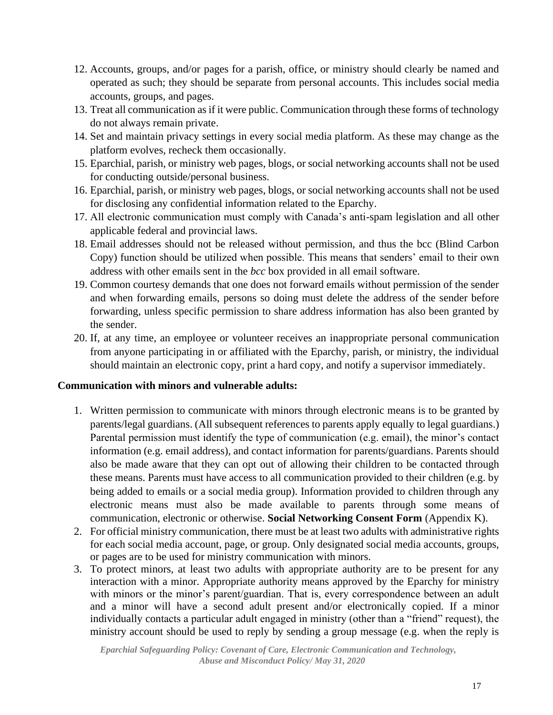- 12. Accounts, groups, and/or pages for a parish, office, or ministry should clearly be named and operated as such; they should be separate from personal accounts. This includes social media accounts, groups, and pages.
- 13. Treat all communication as if it were public. Communication through these forms of technology do not always remain private.
- 14. Set and maintain privacy settings in every social media platform. As these may change as the platform evolves, recheck them occasionally.
- 15. Eparchial, parish, or ministry web pages, blogs, or social networking accounts shall not be used for conducting outside/personal business.
- 16. Eparchial, parish, or ministry web pages, blogs, or social networking accounts shall not be used for disclosing any confidential information related to the Eparchy.
- 17. All electronic communication must comply with Canada's anti-spam legislation and all other applicable federal and provincial laws.
- 18. Email addresses should not be released without permission, and thus the bcc (Blind Carbon Copy) function should be utilized when possible. This means that senders' email to their own address with other emails sent in the *bcc* box provided in all email software.
- 19. Common courtesy demands that one does not forward emails without permission of the sender and when forwarding emails, persons so doing must delete the address of the sender before forwarding, unless specific permission to share address information has also been granted by the sender.
- 20. If, at any time, an employee or volunteer receives an inappropriate personal communication from anyone participating in or affiliated with the Eparchy, parish, or ministry, the individual should maintain an electronic copy, print a hard copy, and notify a supervisor immediately.

#### **Communication with minors and vulnerable adults:**

- 1. Written permission to communicate with minors through electronic means is to be granted by parents/legal guardians. (All subsequent references to parents apply equally to legal guardians.) Parental permission must identify the type of communication (e.g. email), the minor's contact information (e.g. email address), and contact information for parents/guardians. Parents should also be made aware that they can opt out of allowing their children to be contacted through these means. Parents must have access to all communication provided to their children (e.g. by being added to emails or a social media group). Information provided to children through any electronic means must also be made available to parents through some means of communication, electronic or otherwise. **Social Networking Consent Form** (Appendix K).
- 2. For official ministry communication, there must be at least two adults with administrative rights for each social media account, page, or group. Only designated social media accounts, groups, or pages are to be used for ministry communication with minors.
- 3. To protect minors, at least two adults with appropriate authority are to be present for any interaction with a minor. Appropriate authority means approved by the Eparchy for ministry with minors or the minor's parent/guardian. That is, every correspondence between an adult and a minor will have a second adult present and/or electronically copied. If a minor individually contacts a particular adult engaged in ministry (other than a "friend" request), the ministry account should be used to reply by sending a group message (e.g. when the reply is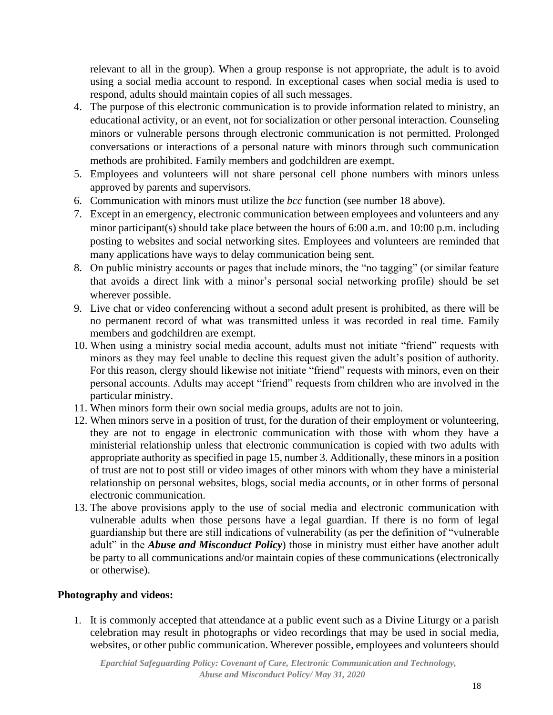relevant to all in the group). When a group response is not appropriate, the adult is to avoid using a social media account to respond. In exceptional cases when social media is used to respond, adults should maintain copies of all such messages.

- 4. The purpose of this electronic communication is to provide information related to ministry, an educational activity, or an event, not for socialization or other personal interaction. Counseling minors or vulnerable persons through electronic communication is not permitted. Prolonged conversations or interactions of a personal nature with minors through such communication methods are prohibited. Family members and godchildren are exempt.
- 5. Employees and volunteers will not share personal cell phone numbers with minors unless approved by parents and supervisors.
- 6. Communication with minors must utilize the *bcc* function (see number 18 above).
- 7. Except in an emergency, electronic communication between employees and volunteers and any minor participant(s) should take place between the hours of 6:00 a.m. and 10:00 p.m. including posting to websites and social networking sites. Employees and volunteers are reminded that many applications have ways to delay communication being sent.
- 8. On public ministry accounts or pages that include minors, the "no tagging" (or similar feature that avoids a direct link with a minor's personal social networking profile) should be set wherever possible.
- 9. Live chat or video conferencing without a second adult present is prohibited, as there will be no permanent record of what was transmitted unless it was recorded in real time. Family members and godchildren are exempt.
- 10. When using a ministry social media account, adults must not initiate "friend" requests with minors as they may feel unable to decline this request given the adult's position of authority. For this reason, clergy should likewise not initiate "friend" requests with minors, even on their personal accounts. Adults may accept "friend" requests from children who are involved in the particular ministry.
- 11. When minors form their own social media groups, adults are not to join.
- 12. When minors serve in a position of trust, for the duration of their employment or volunteering, they are not to engage in electronic communication with those with whom they have a ministerial relationship unless that electronic communication is copied with two adults with appropriate authority as specified in page 15, number 3. Additionally, these minors in a position of trust are not to post still or video images of other minors with whom they have a ministerial relationship on personal websites, blogs, social media accounts, or in other forms of personal electronic communication.
- 13. The above provisions apply to the use of social media and electronic communication with vulnerable adults when those persons have a legal guardian. If there is no form of legal guardianship but there are still indications of vulnerability (as per the definition of "vulnerable adult" in the *Abuse and Misconduct Policy*) those in ministry must either have another adult be party to all communications and/or maintain copies of these communications (electronically or otherwise).

#### **Photography and videos:**

1. It is commonly accepted that attendance at a public event such as a Divine Liturgy or a parish celebration may result in photographs or video recordings that may be used in social media, websites, or other public communication. Wherever possible, employees and volunteers should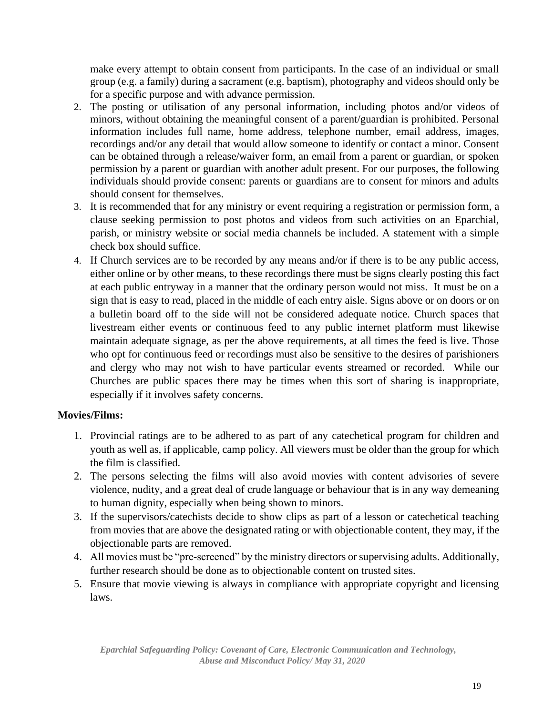make every attempt to obtain consent from participants. In the case of an individual or small group (e.g. a family) during a sacrament (e.g. baptism), photography and videos should only be for a specific purpose and with advance permission.

- 2. The posting or utilisation of any personal information, including photos and/or videos of minors, without obtaining the meaningful consent of a parent/guardian is prohibited. Personal information includes full name, home address, telephone number, email address, images, recordings and/or any detail that would allow someone to identify or contact a minor. Consent can be obtained through a release/waiver form, an email from a parent or guardian, or spoken permission by a parent or guardian with another adult present. For our purposes, the following individuals should provide consent: parents or guardians are to consent for minors and adults should consent for themselves.
- 3. It is recommended that for any ministry or event requiring a registration or permission form, a clause seeking permission to post photos and videos from such activities on an Eparchial, parish, or ministry website or social media channels be included. A statement with a simple check box should suffice.
- 4. If Church services are to be recorded by any means and/or if there is to be any public access, either online or by other means, to these recordings there must be signs clearly posting this fact at each public entryway in a manner that the ordinary person would not miss. It must be on a sign that is easy to read, placed in the middle of each entry aisle. Signs above or on doors or on a bulletin board off to the side will not be considered adequate notice. Church spaces that livestream either events or continuous feed to any public internet platform must likewise maintain adequate signage, as per the above requirements, at all times the feed is live. Those who opt for continuous feed or recordings must also be sensitive to the desires of parishioners and clergy who may not wish to have particular events streamed or recorded. While our Churches are public spaces there may be times when this sort of sharing is inappropriate, especially if it involves safety concerns.

#### **Movies/Films:**

- 1. Provincial ratings are to be adhered to as part of any catechetical program for children and youth as well as, if applicable, camp policy. All viewers must be older than the group for which the film is classified.
- 2. The persons selecting the films will also avoid movies with content advisories of severe violence, nudity, and a great deal of crude language or behaviour that is in any way demeaning to human dignity, especially when being shown to minors.
- 3. If the supervisors/catechists decide to show clips as part of a lesson or catechetical teaching from movies that are above the designated rating or with objectionable content, they may, if the objectionable parts are removed.
- 4. All movies must be "pre-screened" by the ministry directors or supervising adults. Additionally, further research should be done as to objectionable content on trusted sites.
- 5. Ensure that movie viewing is always in compliance with appropriate copyright and licensing laws.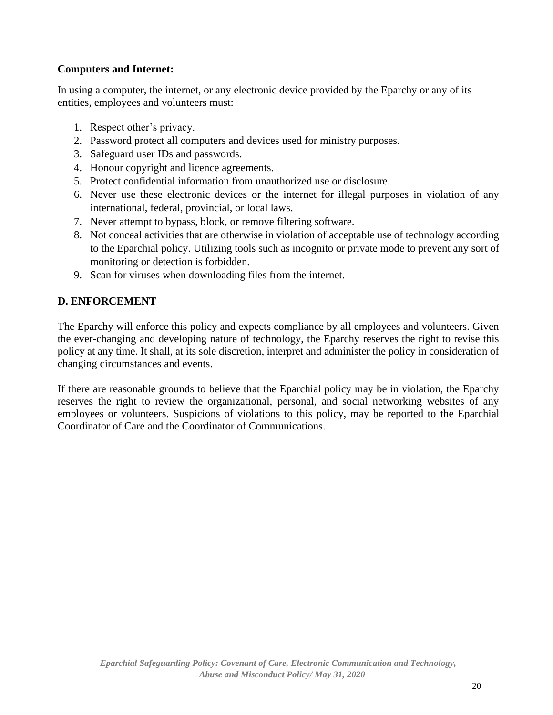#### **Computers and Internet:**

In using a computer, the internet, or any electronic device provided by the Eparchy or any of its entities, employees and volunteers must:

- 1. Respect other's privacy.
- 2. Password protect all computers and devices used for ministry purposes.
- 3. Safeguard user IDs and passwords.
- 4. Honour copyright and licence agreements.
- 5. Protect confidential information from unauthorized use or disclosure.
- 6. Never use these electronic devices or the internet for illegal purposes in violation of any international, federal, provincial, or local laws.
- 7. Never attempt to bypass, block, or remove filtering software.
- 8. Not conceal activities that are otherwise in violation of acceptable use of technology according to the Eparchial policy. Utilizing tools such as incognito or private mode to prevent any sort of monitoring or detection is forbidden.
- 9. Scan for viruses when downloading files from the internet.

## **D. ENFORCEMENT**

The Eparchy will enforce this policy and expects compliance by all employees and volunteers. Given the ever-changing and developing nature of technology, the Eparchy reserves the right to revise this policy at any time. It shall, at its sole discretion, interpret and administer the policy in consideration of changing circumstances and events.

If there are reasonable grounds to believe that the Eparchial policy may be in violation, the Eparchy reserves the right to review the organizational, personal, and social networking websites of any employees or volunteers. Suspicions of violations to this policy, may be reported to the Eparchial Coordinator of Care and the Coordinator of Communications.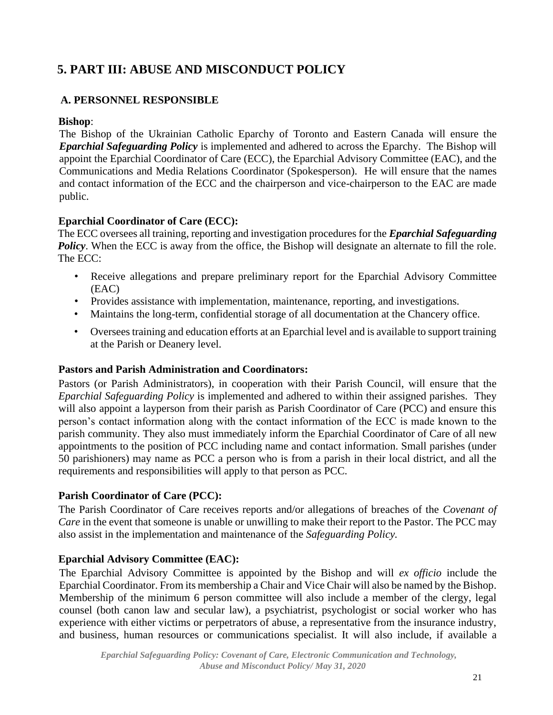## **5. PART III: ABUSE AND MISCONDUCT POLICY**

## **A. PERSONNEL RESPONSIBLE**

#### **Bishop**:

The Bishop of the Ukrainian Catholic Eparchy of Toronto and Eastern Canada will ensure the *Eparchial Safeguarding Policy* is implemented and adhered to across the Eparchy. The Bishop will appoint the Eparchial Coordinator of Care (ECC), the Eparchial Advisory Committee (EAC), and the Communications and Media Relations Coordinator (Spokesperson). He will ensure that the names and contact information of the ECC and the chairperson and vice-chairperson to the EAC are made public.

## **Eparchial Coordinator of Care (ECC):**

The ECC oversees all training, reporting and investigation procedures for the *Eparchial Safeguarding* **Policy**. When the ECC is away from the office, the Bishop will designate an alternate to fill the role. The ECC:

- Receive allegations and prepare preliminary report for the Eparchial Advisory Committee (EAC)
- Provides assistance with implementation, maintenance, reporting, and investigations.
- Maintains the long-term, confidential storage of all documentation at the Chancery office.
- Oversees training and education efforts at an Eparchial level and is available to support training at the Parish or Deanery level.

#### **Pastors and Parish Administration and Coordinators:**

Pastors (or Parish Administrators), in cooperation with their Parish Council, will ensure that the *Eparchial Safeguarding Policy* is implemented and adhered to within their assigned parishes. They will also appoint a layperson from their parish as Parish Coordinator of Care (PCC) and ensure this person's contact information along with the contact information of the ECC is made known to the parish community. They also must immediately inform the Eparchial Coordinator of Care of all new appointments to the position of PCC including name and contact information. Small parishes (under 50 parishioners) may name as PCC a person who is from a parish in their local district, and all the requirements and responsibilities will apply to that person as PCC.

## **Parish Coordinator of Care (PCC):**

The Parish Coordinator of Care receives reports and/or allegations of breaches of the *Covenant of Care* in the event that someone is unable or unwilling to make their report to the Pastor. The PCC may also assist in the implementation and maintenance of the *Safeguarding Policy.*

## **Eparchial Advisory Committee (EAC):**

The Eparchial Advisory Committee is appointed by the Bishop and will *ex officio* include the Eparchial Coordinator. From its membership a Chair and Vice Chair will also be named by the Bishop. Membership of the minimum 6 person committee will also include a member of the clergy, legal counsel (both canon law and secular law), a psychiatrist, psychologist or social worker who has experience with either victims or perpetrators of abuse, a representative from the insurance industry, and business, human resources or communications specialist. It will also include, if available a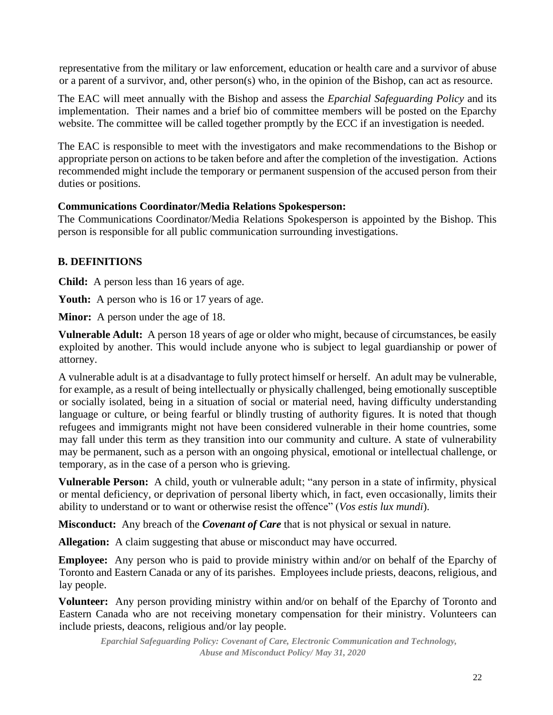representative from the military or law enforcement, education or health care and a survivor of abuse or a parent of a survivor, and, other person(s) who, in the opinion of the Bishop, can act as resource.

The EAC will meet annually with the Bishop and assess the *Eparchial Safeguarding Policy* and its implementation. Their names and a brief bio of committee members will be posted on the Eparchy website. The committee will be called together promptly by the ECC if an investigation is needed.

The EAC is responsible to meet with the investigators and make recommendations to the Bishop or appropriate person on actions to be taken before and after the completion of the investigation. Actions recommended might include the temporary or permanent suspension of the accused person from their duties or positions.

#### **Communications Coordinator/Media Relations Spokesperson:**

The Communications Coordinator/Media Relations Spokesperson is appointed by the Bishop. This person is responsible for all public communication surrounding investigations.

#### **B. DEFINITIONS**

**Child:** A person less than 16 years of age.

Youth: A person who is 16 or 17 years of age.

**Minor:** A person under the age of 18.

**Vulnerable Adult:** A person 18 years of age or older who might, because of circumstances, be easily exploited by another. This would include anyone who is subject to legal guardianship or power of attorney.

A vulnerable adult is at a disadvantage to fully protect himself or herself. An adult may be vulnerable, for example, as a result of being intellectually or physically challenged, being emotionally susceptible or socially isolated, being in a situation of social or material need, having difficulty understanding language or culture, or being fearful or blindly trusting of authority figures. It is noted that though refugees and immigrants might not have been considered vulnerable in their home countries, some may fall under this term as they transition into our community and culture. A state of vulnerability may be permanent, such as a person with an ongoing physical, emotional or intellectual challenge, or temporary, as in the case of a person who is grieving.

**Vulnerable Person:** A child, youth or vulnerable adult; "any person in a state of infirmity, physical or mental deficiency, or deprivation of personal liberty which, in fact, even occasionally, limits their ability to understand or to want or otherwise resist the offence" (*Vos estis lux mundi*).

**Misconduct:** Any breach of the *Covenant of Care* that is not physical or sexual in nature.

Allegation: A claim suggesting that abuse or misconduct may have occurred.

**Employee:** Any person who is paid to provide ministry within and/or on behalf of the Eparchy of Toronto and Eastern Canada or any of its parishes. Employees include priests, deacons, religious, and lay people.

**Volunteer:** Any person providing ministry within and/or on behalf of the Eparchy of Toronto and Eastern Canada who are not receiving monetary compensation for their ministry. Volunteers can include priests, deacons, religious and/or lay people.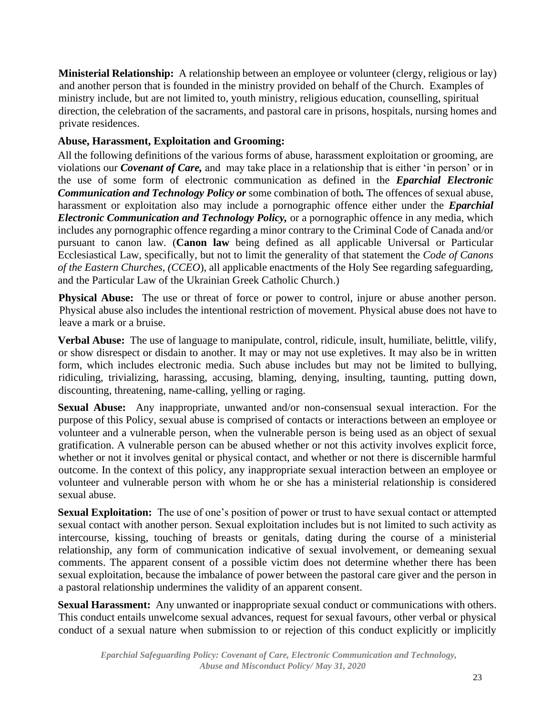**Ministerial Relationship:** A relationship between an employee or volunteer (clergy, religious or lay) and another person that is founded in the ministry provided on behalf of the Church. Examples of ministry include, but are not limited to, youth ministry, religious education, counselling, spiritual direction, the celebration of the sacraments, and pastoral care in prisons, hospitals, nursing homes and private residences.

#### **Abuse, Harassment, Exploitation and Grooming:**

All the following definitions of the various forms of abuse, harassment exploitation or grooming, are violations our *Covenant of Care,* and may take place in a relationship that is either 'in person' or in the use of some form of electronic communication as defined in the *Eparchial Electronic Communication and Technology Policy or* some combination of both*.* The offences of sexual abuse, harassment or exploitation also may include a pornographic offence either under the *Eparchial Electronic Communication and Technology Policy,* or a pornographic offence in any media, which includes any pornographic offence regarding a minor contrary to the Criminal Code of Canada and/or pursuant to canon law. (**Canon law** being defined as all applicable Universal or Particular Ecclesiastical Law, specifically, but not to limit the generality of that statement the *Code of Canons of the Eastern Churches, (CCEO*), all applicable enactments of the Holy See regarding safeguarding, and the Particular Law of the Ukrainian Greek Catholic Church.)

**Physical Abuse:** The use or threat of force or power to control, injure or abuse another person. Physical abuse also includes the intentional restriction of movement. Physical abuse does not have to leave a mark or a bruise.

**Verbal Abuse:** The use of language to manipulate, control, ridicule, insult, humiliate, belittle, vilify, or show disrespect or disdain to another. It may or may not use expletives. It may also be in written form, which includes electronic media. Such abuse includes but may not be limited to bullying, ridiculing, trivializing, harassing, accusing, blaming, denying, insulting, taunting, putting down, discounting, threatening, name-calling, yelling or raging.

**Sexual Abuse:** Any inappropriate, unwanted and/or non-consensual sexual interaction. For the purpose of this Policy, sexual abuse is comprised of contacts or interactions between an employee or volunteer and a vulnerable person, when the vulnerable person is being used as an object of sexual gratification. A vulnerable person can be abused whether or not this activity involves explicit force, whether or not it involves genital or physical contact, and whether or not there is discernible harmful outcome. In the context of this policy, any inappropriate sexual interaction between an employee or volunteer and vulnerable person with whom he or she has a ministerial relationship is considered sexual abuse.

**Sexual Exploitation:** The use of one's position of power or trust to have sexual contact or attempted sexual contact with another person. Sexual exploitation includes but is not limited to such activity as intercourse, kissing, touching of breasts or genitals, dating during the course of a ministerial relationship, any form of communication indicative of sexual involvement, or demeaning sexual comments. The apparent consent of a possible victim does not determine whether there has been sexual exploitation, because the imbalance of power between the pastoral care giver and the person in a pastoral relationship undermines the validity of an apparent consent.

**Sexual Harassment:** Any unwanted or inappropriate sexual conduct or communications with others. This conduct entails unwelcome sexual advances, request for sexual favours, other verbal or physical conduct of a sexual nature when submission to or rejection of this conduct explicitly or implicitly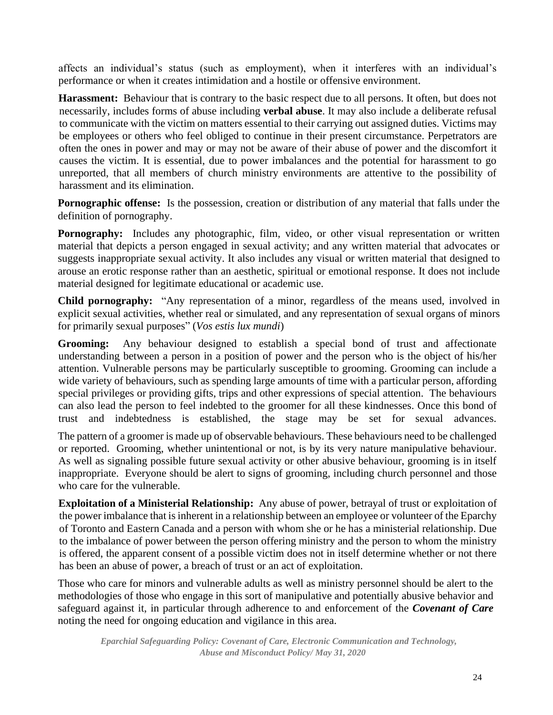affects an individual's status (such as employment), when it interferes with an individual's performance or when it creates intimidation and a hostile or offensive environment.

**Harassment:** Behaviour that is contrary to the basic respect due to all persons. It often, but does not necessarily, includes forms of abuse including **verbal abuse**. It may also include a deliberate refusal to communicate with the victim on matters essential to their carrying out assigned duties. Victims may be employees or others who feel obliged to continue in their present circumstance. Perpetrators are often the ones in power and may or may not be aware of their abuse of power and the discomfort it causes the victim. It is essential, due to power imbalances and the potential for harassment to go unreported, that all members of church ministry environments are attentive to the possibility of harassment and its elimination.

**Pornographic offense:** Is the possession, creation or distribution of any material that falls under the definition of pornography.

**Pornography:** Includes any photographic, film, video, or other visual representation or written material that depicts a person engaged in sexual activity; and any written material that advocates or suggests inappropriate sexual activity. It also includes any visual or written material that designed to arouse an erotic response rather than an aesthetic, spiritual or emotional response. It does not include material designed for legitimate educational or academic use.

**Child pornography:** "Any representation of a minor, regardless of the means used, involved in explicit sexual activities, whether real or simulated, and any representation of sexual organs of minors for primarily sexual purposes" (*Vos estis lux mundi*)

**Grooming:** Any behaviour designed to establish a special bond of trust and affectionate understanding between a person in a position of power and the person who is the object of his/her attention. Vulnerable persons may be particularly susceptible to grooming. Grooming can include a wide variety of behaviours, such as spending large amounts of time with a particular person, affording special privileges or providing gifts, trips and other expressions of special attention. The behaviours can also lead the person to feel indebted to the groomer for all these kindnesses. Once this bond of trust and indebtedness is established, the stage may be set for sexual advances.

The pattern of a groomer is made up of observable behaviours. These behaviours need to be challenged or reported. Grooming, whether unintentional or not, is by its very nature manipulative behaviour. As well as signaling possible future sexual activity or other abusive behaviour, grooming is in itself inappropriate. Everyone should be alert to signs of grooming, including church personnel and those who care for the vulnerable.

**Exploitation of a Ministerial Relationship:** Any abuse of power, betrayal of trust or exploitation of the power imbalance that is inherent in a relationship between an employee or volunteer of the Eparchy of Toronto and Eastern Canada and a person with whom she or he has a ministerial relationship. Due to the imbalance of power between the person offering ministry and the person to whom the ministry is offered, the apparent consent of a possible victim does not in itself determine whether or not there has been an abuse of power, a breach of trust or an act of exploitation.

Those who care for minors and vulnerable adults as well as ministry personnel should be alert to the methodologies of those who engage in this sort of manipulative and potentially abusive behavior and safeguard against it, in particular through adherence to and enforcement of the *Covenant of Care* noting the need for ongoing education and vigilance in this area.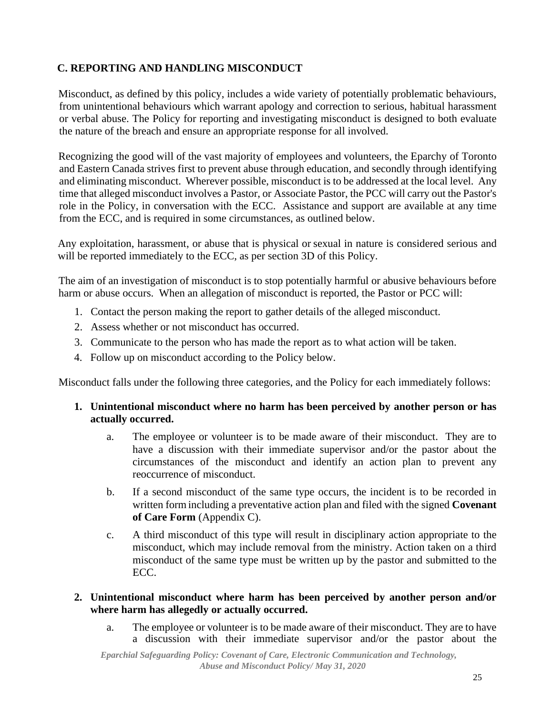## **C. REPORTING AND HANDLING MISCONDUCT**

Misconduct, as defined by this policy, includes a wide variety of potentially problematic behaviours, from unintentional behaviours which warrant apology and correction to serious, habitual harassment or verbal abuse. The Policy for reporting and investigating misconduct is designed to both evaluate the nature of the breach and ensure an appropriate response for all involved.

Recognizing the good will of the vast majority of employees and volunteers, the Eparchy of Toronto and Eastern Canada strives first to prevent abuse through education, and secondly through identifying and eliminating misconduct. Wherever possible, misconduct is to be addressed at the local level. Any time that alleged misconduct involves a Pastor, or Associate Pastor, the PCC will carry out the Pastor's role in the Policy, in conversation with the ECC. Assistance and support are available at any time from the ECC, and is required in some circumstances, as outlined below.

Any exploitation, harassment, or abuse that is physical or sexual in nature is considered serious and will be reported immediately to the ECC, as per section 3D of this Policy.

The aim of an investigation of misconduct is to stop potentially harmful or abusive behaviours before harm or abuse occurs. When an allegation of misconduct is reported, the Pastor or PCC will:

- 1. Contact the person making the report to gather details of the alleged misconduct.
- 2. Assess whether or not misconduct has occurred.
- 3. Communicate to the person who has made the report as to what action will be taken.
- 4. Follow up on misconduct according to the Policy below.

Misconduct falls under the following three categories, and the Policy for each immediately follows:

- **1. Unintentional misconduct where no harm has been perceived by another person or has actually occurred.**
	- a. The employee or volunteer is to be made aware of their misconduct. They are to have a discussion with their immediate supervisor and/or the pastor about the circumstances of the misconduct and identify an action plan to prevent any reoccurrence of misconduct.
	- b. If a second misconduct of the same type occurs, the incident is to be recorded in written formincluding a preventative action plan and filed with the signed **Covenant of Care Form** (Appendix C).
	- c. A third misconduct of this type will result in disciplinary action appropriate to the misconduct, which may include removal from the ministry. Action taken on a third misconduct of the same type must be written up by the pastor and submitted to the ECC.
- **2. Unintentional misconduct where harm has been perceived by another person and/or where harm has allegedly or actually occurred.**
	- a. The employee or volunteer is to be made aware of their misconduct. They are to have a discussion with their immediate supervisor and/or the pastor about the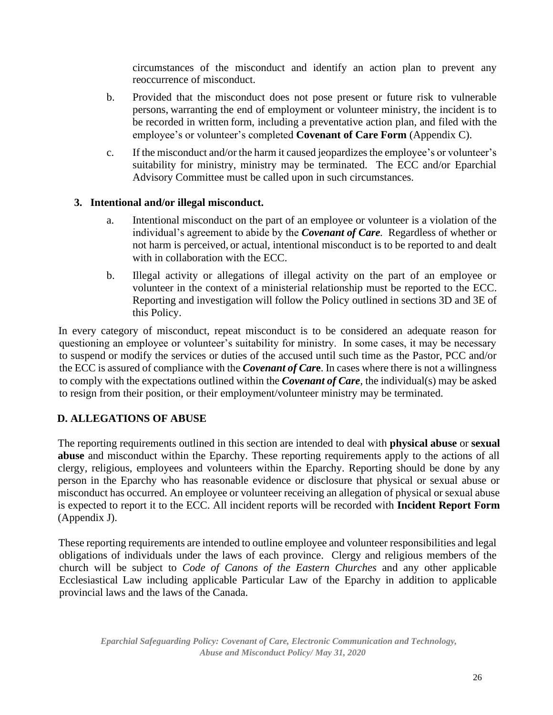circumstances of the misconduct and identify an action plan to prevent any reoccurrence of misconduct.

- b. Provided that the misconduct does not pose present or future risk to vulnerable persons, warranting the end of employment or volunteer ministry, the incident is to be recorded in written form, including a preventative action plan, and filed with the employee's or volunteer's completed **Covenant of Care Form** (Appendix C).
- c. If the misconduct and/or the harm it caused jeopardizes the employee's or volunteer's suitability for ministry, ministry may be terminated. The ECC and/or Eparchial Advisory Committee must be called upon in such circumstances.

#### **3. Intentional and/or illegal misconduct.**

- a. Intentional misconduct on the part of an employee or volunteer is a violation of the individual's agreement to abide by the *Covenant of Care.* Regardless of whether or not harm is perceived, or actual, intentional misconduct is to be reported to and dealt with in collaboration with the ECC.
- b. Illegal activity or allegations of illegal activity on the part of an employee or volunteer in the context of a ministerial relationship must be reported to the ECC. Reporting and investigation will follow the Policy outlined in sections 3D and 3E of this Policy.

In every category of misconduct, repeat misconduct is to be considered an adequate reason for questioning an employee or volunteer's suitability for ministry. In some cases, it may be necessary to suspend or modify the services or duties of the accused until such time as the Pastor, PCC and/or the ECC is assured of compliance with the *Covenant of Car***e**. In cases where there is not a willingness to comply with the expectations outlined within the *Covenant of Care*, the individual(s) may be asked to resign from their position, or their employment/volunteer ministry may be terminated.

## **D. ALLEGATIONS OF ABUSE**

The reporting requirements outlined in this section are intended to deal with **physical abuse** or **sexual abuse** and misconduct within the Eparchy. These reporting requirements apply to the actions of all clergy, religious, employees and volunteers within the Eparchy. Reporting should be done by any person in the Eparchy who has reasonable evidence or disclosure that physical or sexual abuse or misconduct has occurred. An employee or volunteer receiving an allegation of physical or sexual abuse is expected to report it to the ECC. All incident reports will be recorded with **Incident Report Form** (Appendix J).

These reporting requirements are intended to outline employee and volunteer responsibilities and legal obligations of individuals under the laws of each province. Clergy and religious members of the church will be subject to *Code of Canons of the Eastern Churches* and any other applicable Ecclesiastical Law including applicable Particular Law of the Eparchy in addition to applicable provincial laws and the laws of the Canada.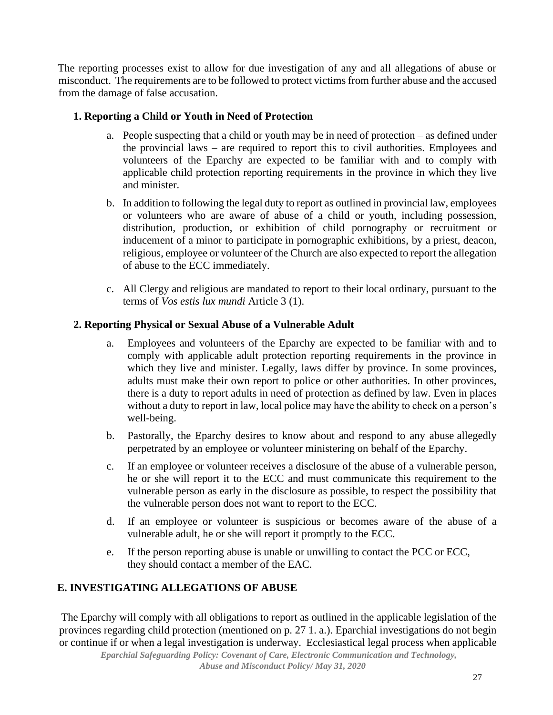The reporting processes exist to allow for due investigation of any and all allegations of abuse or misconduct. The requirements are to be followed to protect victims from further abuse and the accused from the damage of false accusation.

#### **1. Reporting a Child or Youth in Need of Protection**

- a. People suspecting that a child or youth may be in need of protection as defined under the provincial laws – are required to report this to civil authorities. Employees and volunteers of the Eparchy are expected to be familiar with and to comply with applicable child protection reporting requirements in the province in which they live and minister.
- b. In addition to following the legal duty to report as outlined in provincial law, employees or volunteers who are aware of abuse of a child or youth, including possession, distribution, production, or exhibition of child pornography or recruitment or inducement of a minor to participate in pornographic exhibitions, by a priest, deacon, religious, employee or volunteer of the Church are also expected to report the allegation of abuse to the ECC immediately.
- c. All Clergy and religious are mandated to report to their local ordinary, pursuant to the terms of *Vos estis lux mundi* Article 3 (1).

#### **2. Reporting Physical or Sexual Abuse of a Vulnerable Adult**

- a. Employees and volunteers of the Eparchy are expected to be familiar with and to comply with applicable adult protection reporting requirements in the province in which they live and minister. Legally, laws differ by province. In some provinces, adults must make their own report to police or other authorities. In other provinces, there is a duty to report adults in need of protection as defined by law. Even in places without a duty to report in law, local police may have the ability to check on a person's well-being.
- b. Pastorally, the Eparchy desires to know about and respond to any abuse allegedly perpetrated by an employee or volunteer ministering on behalf of the Eparchy.
- c. If an employee or volunteer receives a disclosure of the abuse of a vulnerable person, he or she will report it to the ECC and must communicate this requirement to the vulnerable person as early in the disclosure as possible, to respect the possibility that the vulnerable person does not want to report to the ECC.
- d. If an employee or volunteer is suspicious or becomes aware of the abuse of a vulnerable adult, he or she will report it promptly to the ECC.
- e. If the person reporting abuse is unable or unwilling to contact the PCC or ECC, they should contact a member of the EAC.

## **E. INVESTIGATING ALLEGATIONS OF ABUSE**

The Eparchy will comply with all obligations to report as outlined in the applicable legislation of the provinces regarding child protection (mentioned on p. 27 1. a.). Eparchial investigations do not begin or continue if or when a legal investigation is underway. Ecclesiastical legal process when applicable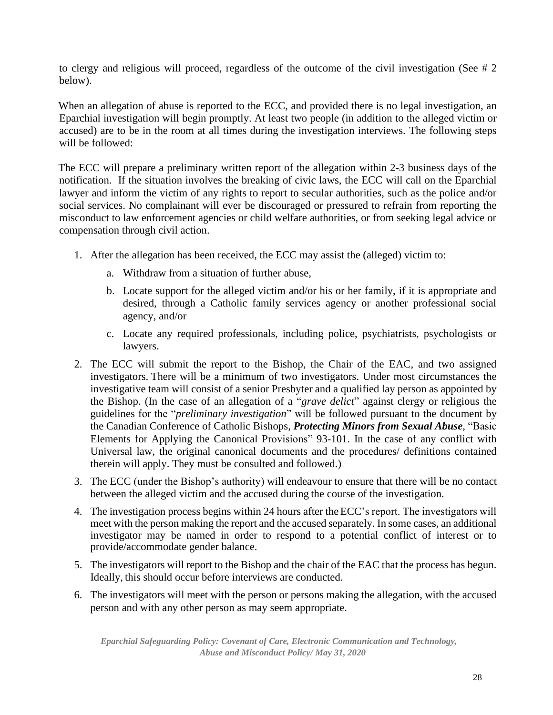to clergy and religious will proceed, regardless of the outcome of the civil investigation (See # 2 below).

When an allegation of abuse is reported to the ECC, and provided there is no legal investigation, an Eparchial investigation will begin promptly. At least two people (in addition to the alleged victim or accused) are to be in the room at all times during the investigation interviews. The following steps will be followed:

The ECC will prepare a preliminary written report of the allegation within 2-3 business days of the notification. If the situation involves the breaking of civic laws, the ECC will call on the Eparchial lawyer and inform the victim of any rights to report to secular authorities, such as the police and/or social services. No complainant will ever be discouraged or pressured to refrain from reporting the misconduct to law enforcement agencies or child welfare authorities, or from seeking legal advice or compensation through civil action.

- 1. After the allegation has been received, the ECC may assist the (alleged) victim to:
	- a. Withdraw from a situation of further abuse,
	- b. Locate support for the alleged victim and/or his or her family, if it is appropriate and desired, through a Catholic family services agency or another professional social agency, and/or
	- c. Locate any required professionals, including police, psychiatrists, psychologists or lawyers.
- 2. The ECC will submit the report to the Bishop, the Chair of the EAC, and two assigned investigators. There will be a minimum of two investigators. Under most circumstances the investigative team will consist of a senior Presbyter and a qualified lay person as appointed by the Bishop. (In the case of an allegation of a "*grave delict*" against clergy or religious the guidelines for the "*preliminary investigation*" will be followed pursuant to the document by the Canadian Conference of Catholic Bishops, *Protecting Minors from Sexual Abuse*, "Basic Elements for Applying the Canonical Provisions" 93-101. In the case of any conflict with Universal law, the original canonical documents and the procedures/ definitions contained therein will apply. They must be consulted and followed.)
- 3. The ECC (under the Bishop's authority) will endeavour to ensure that there will be no contact between the alleged victim and the accused during the course of the investigation.
- 4. The investigation process begins within 24 hours after the ECC's report. The investigators will meet with the person making the report and the accused separately. In some cases, an additional investigator may be named in order to respond to a potential conflict of interest or to provide/accommodate gender balance.
- 5. The investigators will report to the Bishop and the chair of the EAC that the process has begun. Ideally, this should occur before interviews are conducted.
- 6. The investigators will meet with the person or persons making the allegation, with the accused person and with any other person as may seem appropriate.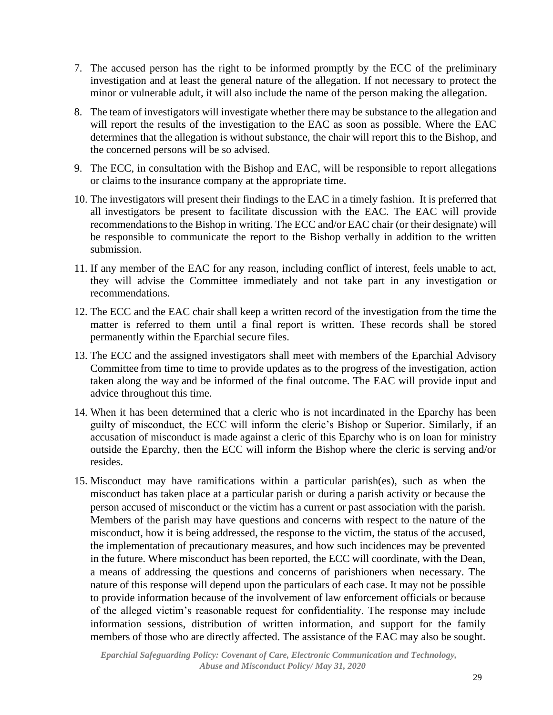- 7. The accused person has the right to be informed promptly by the ECC of the preliminary investigation and at least the general nature of the allegation. If not necessary to protect the minor or vulnerable adult, it will also include the name of the person making the allegation.
- 8. The team of investigators will investigate whether there may be substance to the allegation and will report the results of the investigation to the EAC as soon as possible. Where the EAC determines that the allegation is without substance, the chair will report this to the Bishop, and the concerned persons will be so advised.
- 9. The ECC, in consultation with the Bishop and EAC, will be responsible to report allegations or claims to the insurance company at the appropriate time.
- 10. The investigators will present their findings to the EAC in a timely fashion. It is preferred that all investigators be present to facilitate discussion with the EAC. The EAC will provide recommendationsto the Bishop in writing. The ECC and/or EAC chair (or their designate) will be responsible to communicate the report to the Bishop verbally in addition to the written submission.
- 11. If any member of the EAC for any reason, including conflict of interest, feels unable to act, they will advise the Committee immediately and not take part in any investigation or recommendations.
- 12. The ECC and the EAC chair shall keep a written record of the investigation from the time the matter is referred to them until a final report is written. These records shall be stored permanently within the Eparchial secure files.
- 13. The ECC and the assigned investigators shall meet with members of the Eparchial Advisory Committee from time to time to provide updates as to the progress of the investigation, action taken along the way and be informed of the final outcome. The EAC will provide input and advice throughout this time.
- 14. When it has been determined that a cleric who is not incardinated in the Eparchy has been guilty of misconduct, the ECC will inform the cleric's Bishop or Superior. Similarly, if an accusation of misconduct is made against a cleric of this Eparchy who is on loan for ministry outside the Eparchy, then the ECC will inform the Bishop where the cleric is serving and/or resides.
- 15. Misconduct may have ramifications within a particular parish(es), such as when the misconduct has taken place at a particular parish or during a parish activity or because the person accused of misconduct or the victim has a current or past association with the parish. Members of the parish may have questions and concerns with respect to the nature of the misconduct, how it is being addressed, the response to the victim, the status of the accused, the implementation of precautionary measures, and how such incidences may be prevented in the future. Where misconduct has been reported, the ECC will coordinate, with the Dean, a means of addressing the questions and concerns of parishioners when necessary. The nature of this response will depend upon the particulars of each case. It may not be possible to provide information because of the involvement of law enforcement officials or because of the alleged victim's reasonable request for confidentiality. The response may include information sessions, distribution of written information, and support for the family members of those who are directly affected. The assistance of the EAC may also be sought.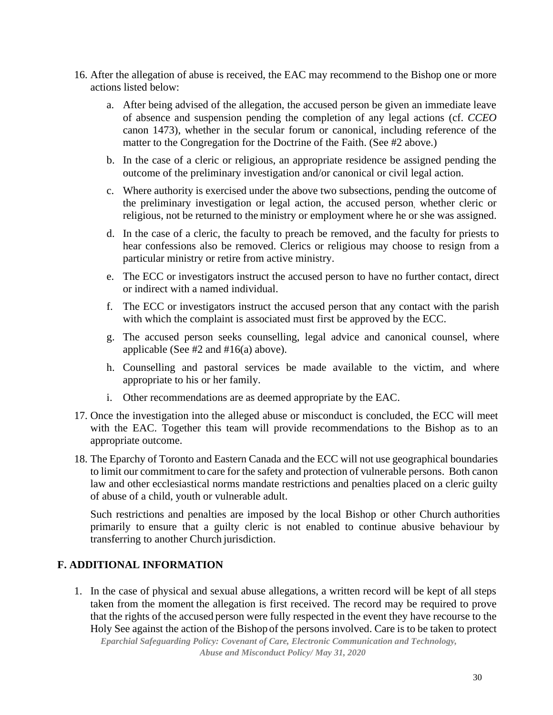- 16. After the allegation of abuse is received, the EAC may recommend to the Bishop one or more actions listed below:
	- a. After being advised of the allegation, the accused person be given an immediate leave of absence and suspension pending the completion of any legal actions (cf. *CCEO* canon 1473), whether in the secular forum or canonical, including reference of the matter to the Congregation for the Doctrine of the Faith. (See #2 above.)
	- b. In the case of a cleric or religious, an appropriate residence be assigned pending the outcome of the preliminary investigation and/or canonical or civil legal action.
	- c. Where authority is exercised under the above two subsections, pending the outcome of the preliminary investigation or legal action, the accused person, whether cleric or religious, not be returned to the ministry or employment where he or she was assigned.
	- d. In the case of a cleric, the faculty to preach be removed, and the faculty for priests to hear confessions also be removed. Clerics or religious may choose to resign from a particular ministry or retire from active ministry.
	- e. The ECC or investigators instruct the accused person to have no further contact, direct or indirect with a named individual.
	- f. The ECC or investigators instruct the accused person that any contact with the parish with which the complaint is associated must first be approved by the ECC.
	- g. The accused person seeks counselling, legal advice and canonical counsel, where applicable (See #2 and #16(a) above).
	- h. Counselling and pastoral services be made available to the victim, and where appropriate to his or her family.
	- i. Other recommendations are as deemed appropriate by the EAC.
- 17. Once the investigation into the alleged abuse or misconduct is concluded, the ECC will meet with the EAC. Together this team will provide recommendations to the Bishop as to an appropriate outcome.
- 18. The Eparchy of Toronto and Eastern Canada and the ECC will not use geographical boundaries to limit our commitment to care for the safety and protection of vulnerable persons. Both canon law and other ecclesiastical norms mandate restrictions and penalties placed on a cleric guilty of abuse of a child, youth or vulnerable adult.

Such restrictions and penalties are imposed by the local Bishop or other Church authorities primarily to ensure that a guilty cleric is not enabled to continue abusive behaviour by transferring to another Church jurisdiction.

## **F. ADDITIONAL INFORMATION**

1. In the case of physical and sexual abuse allegations, a written record will be kept of all steps taken from the moment the allegation is first received. The record may be required to prove that the rights of the accused person were fully respected in the event they have recourse to the Holy See against the action of the Bishop of the persons involved. Care is to be taken to protect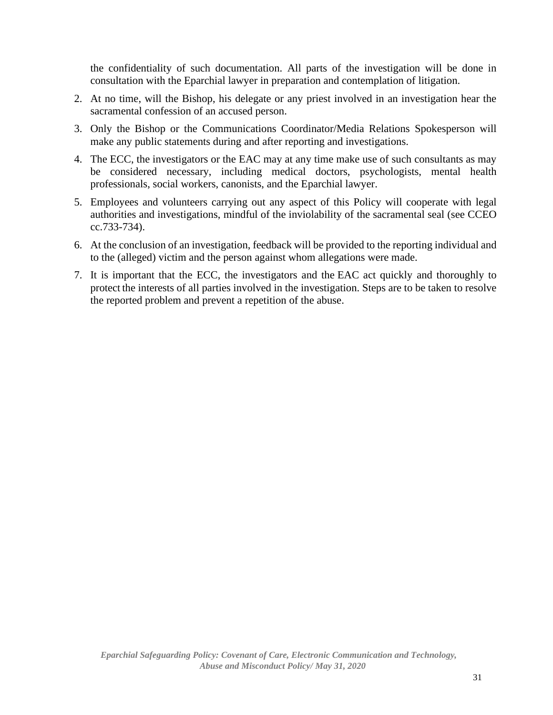the confidentiality of such documentation. All parts of the investigation will be done in consultation with the Eparchial lawyer in preparation and contemplation of litigation.

- 2. At no time, will the Bishop, his delegate or any priest involved in an investigation hear the sacramental confession of an accused person.
- 3. Only the Bishop or the Communications Coordinator/Media Relations Spokesperson will make any public statements during and after reporting and investigations.
- 4. The ECC, the investigators or the EAC may at any time make use of such consultants as may be considered necessary, including medical doctors, psychologists, mental health professionals, social workers, canonists, and the Eparchial lawyer.
- 5. Employees and volunteers carrying out any aspect of this Policy will cooperate with legal authorities and investigations, mindful of the inviolability of the sacramental seal (see CCEO cc.733-734).
- 6. At the conclusion of an investigation, feedback will be provided to the reporting individual and to the (alleged) victim and the person against whom allegations were made.
- 7. It is important that the ECC, the investigators and the EAC act quickly and thoroughly to protect the interests of all parties involved in the investigation. Steps are to be taken to resolve the reported problem and prevent a repetition of the abuse.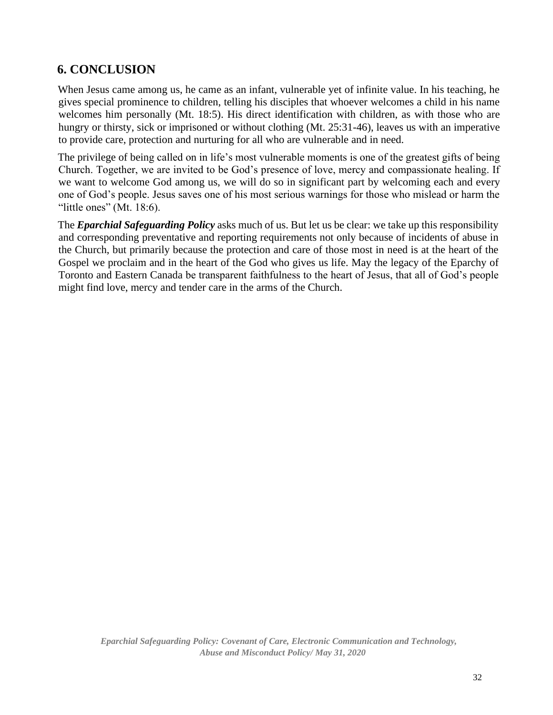## **6. CONCLUSION**

When Jesus came among us, he came as an infant, vulnerable yet of infinite value. In his teaching, he gives special prominence to children, telling his disciples that whoever welcomes a child in his name welcomes him personally (Mt. 18:5). His direct identification with children, as with those who are hungry or thirsty, sick or imprisoned or without clothing (Mt. 25:31-46), leaves us with an imperative to provide care, protection and nurturing for all who are vulnerable and in need.

The privilege of being called on in life's most vulnerable moments is one of the greatest gifts of being Church. Together, we are invited to be God's presence of love, mercy and compassionate healing. If we want to welcome God among us, we will do so in significant part by welcoming each and every one of God's people. Jesus saves one of his most serious warnings for those who mislead or harm the "little ones" (Mt. 18:6).

The *Eparchial Safeguarding Policy* asks much of us. But let us be clear: we take up this responsibility and corresponding preventative and reporting requirements not only because of incidents of abuse in the Church, but primarily because the protection and care of those most in need is at the heart of the Gospel we proclaim and in the heart of the God who gives us life. May the legacy of the Eparchy of Toronto and Eastern Canada be transparent faithfulness to the heart of Jesus, that all of God's people might find love, mercy and tender care in the arms of the Church.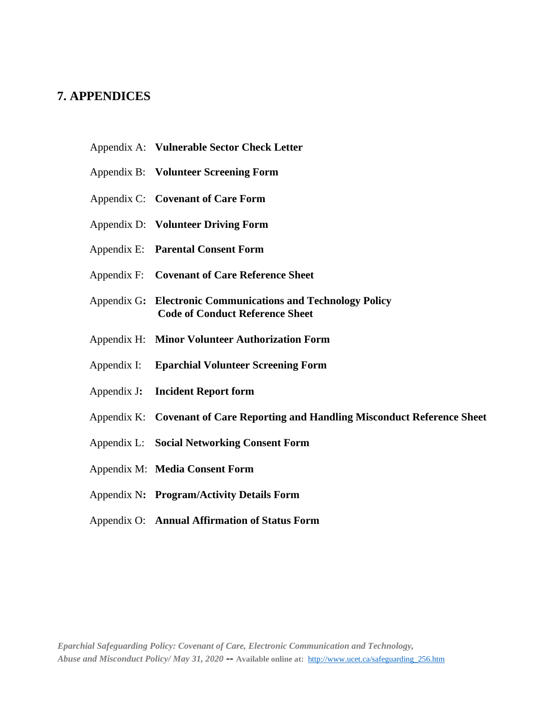## **7. APPENDICES**

- Appendix A: **Vulnerable Sector Check Letter**
- Appendix B: **Volunteer Screening Form**
- Appendix C: **Covenant of Care Form**
- Appendix D: **Volunteer Driving Form**
- Appendix E: **Parental Consent Form**
- Appendix F: **Covenant of Care Reference Sheet**
- Appendix G**: Electronic Communications and Technology Policy Code of Conduct Reference Sheet**
- Appendix H: **Minor Volunteer Authorization Form**
- Appendix I: **Eparchial Volunteer Screening Form**
- Appendix J**: Incident Report form**
- Appendix K: **Covenant of Care Reporting and Handling Misconduct Reference Sheet**
- Appendix L: **Social Networking Consent Form**
- Appendix M: **Media Consent Form**
- Appendix N**: Program/Activity Details Form**
- Appendix O: **Annual Affirmation of Status Form**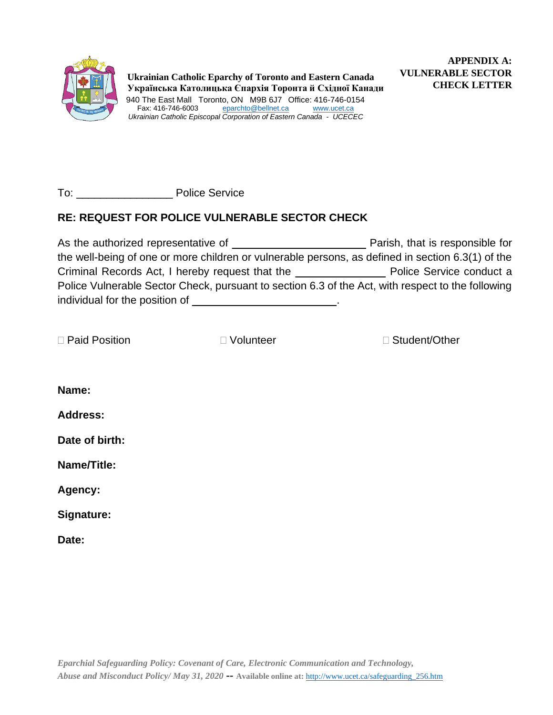

To: **Discussed Police Service** 

## **RE: REQUEST FOR POLICE VULNERABLE SECTOR CHECK**

As the authorized representative of \_\_\_\_\_\_\_\_\_\_\_\_\_\_\_ \_\_\_\_\_\_ Parish, that is responsible for the well-being of one or more children or vulnerable persons, as defined in section 6.3(1) of the Criminal Records Act, I hereby request that the \_\_\_\_\_\_\_\_\_\_\_\_\_\_\_ Police Service conduct a Police Vulnerable Sector Check, pursuant to section 6.3 of the Act, with respect to the following individual for the position of \_\_\_\_\_\_\_\_\_\_\_\_\_\_\_\_\_\_\_\_\_\_\_\_.

|  |  | □ Paid Position |
|--|--|-----------------|
|--|--|-----------------|

□ Volunteer Student/Other

**Name:**

**Address:**

**Date of birth:**

**Name/Title:**

**Agency:**

**Signature:**

**Date:**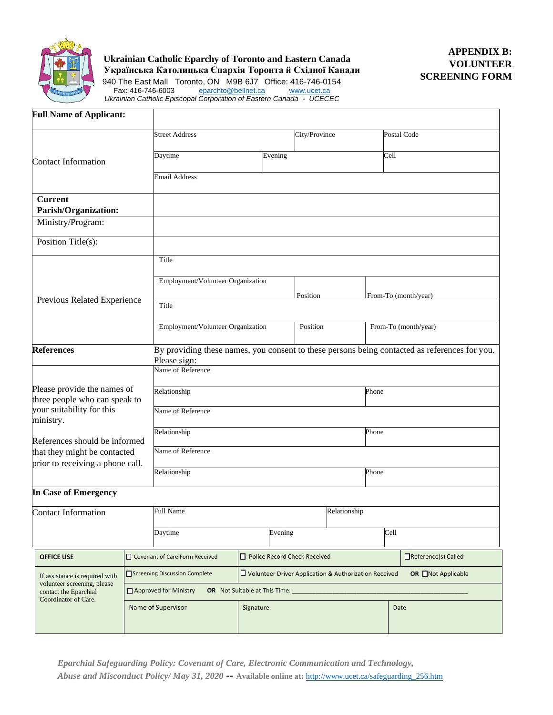

**Ukrainian Catholic Eparchy of Toronto and Eastern Canada Українська Католицька Єпархія Торонта й Східної Канади**

940 The East Mall Toronto, ON M9B 6J7 Office: 416-746-0154 Fax: 416-746-6003 [eparchto@bellnet.ca](mailto:eparchto@bellnet.ca) [www.ucet.ca](http://www.ucet.ca/) *Ukrainian Catholic Episcopal Corporation of Eastern Canada - UCECEC*

| <b>Full Name of Applicant:</b>                               |  |                                                                                                                        |           |         |                              |  |      |                                                                                               |
|--------------------------------------------------------------|--|------------------------------------------------------------------------------------------------------------------------|-----------|---------|------------------------------|--|------|-----------------------------------------------------------------------------------------------|
|                                                              |  | <b>Street Address</b>                                                                                                  |           |         | City/Province                |  |      | Postal Code                                                                                   |
| <b>Contact Information</b>                                   |  | Daytime                                                                                                                | Evening   |         | Cell                         |  |      |                                                                                               |
|                                                              |  | <b>Email Address</b>                                                                                                   |           |         |                              |  |      |                                                                                               |
| <b>Current</b><br>Parish/Organization:                       |  |                                                                                                                        |           |         |                              |  |      |                                                                                               |
| Ministry/Program:                                            |  |                                                                                                                        |           |         |                              |  |      |                                                                                               |
| Position Title(s):                                           |  |                                                                                                                        |           |         |                              |  |      |                                                                                               |
|                                                              |  | Title                                                                                                                  |           |         |                              |  |      |                                                                                               |
|                                                              |  | Employment/Volunteer Organization                                                                                      |           |         |                              |  |      |                                                                                               |
| Previous Related Experience                                  |  | Title                                                                                                                  |           |         | Position                     |  |      | From-To (month/year)                                                                          |
|                                                              |  |                                                                                                                        |           |         |                              |  |      |                                                                                               |
|                                                              |  | Employment/Volunteer Organization<br>Position                                                                          |           |         | From-To (month/year)         |  |      |                                                                                               |
| <b>References</b>                                            |  | Please sign:                                                                                                           |           |         |                              |  |      | By providing these names, you consent to these persons being contacted as references for you. |
|                                                              |  | Name of Reference                                                                                                      |           |         |                              |  |      |                                                                                               |
| Please provide the names of<br>three people who can speak to |  | Relationship<br>Phone                                                                                                  |           |         |                              |  |      |                                                                                               |
| your suitability for this<br>ministry.                       |  | Name of Reference                                                                                                      |           |         |                              |  |      |                                                                                               |
| References should be informed                                |  | Relationship<br>Phone                                                                                                  |           |         |                              |  |      |                                                                                               |
| that they might be contacted                                 |  | Name of Reference                                                                                                      |           |         |                              |  |      |                                                                                               |
| prior to receiving a phone call.                             |  | Relationship<br>Phone                                                                                                  |           |         |                              |  |      |                                                                                               |
| In Case of Emergency                                         |  |                                                                                                                        |           |         |                              |  |      |                                                                                               |
| <b>Contact Information</b>                                   |  | <b>Full Name</b><br>Relationship                                                                                       |           |         |                              |  |      |                                                                                               |
|                                                              |  | Daytime                                                                                                                |           | Evening |                              |  | Cell |                                                                                               |
| <b>OFFICE USE</b>                                            |  | Covenant of Care Form Received                                                                                         |           |         | Police Record Check Received |  |      | □Reference(s) Called                                                                          |
| If assistance is required with                               |  | $\square$ Volunteer Driver Application & Authorization Received<br>Screening Discussion Complete<br>OR □Not Applicable |           |         |                              |  |      |                                                                                               |
| volunteer screening, please<br>contact the Eparchial         |  | □ Approved for Ministry<br><b>OR</b> Not Suitable at This Time:                                                        |           |         |                              |  |      |                                                                                               |
| Coordinator of Care.                                         |  | Name of Supervisor                                                                                                     | Signature |         |                              |  | Date |                                                                                               |
|                                                              |  |                                                                                                                        |           |         |                              |  |      |                                                                                               |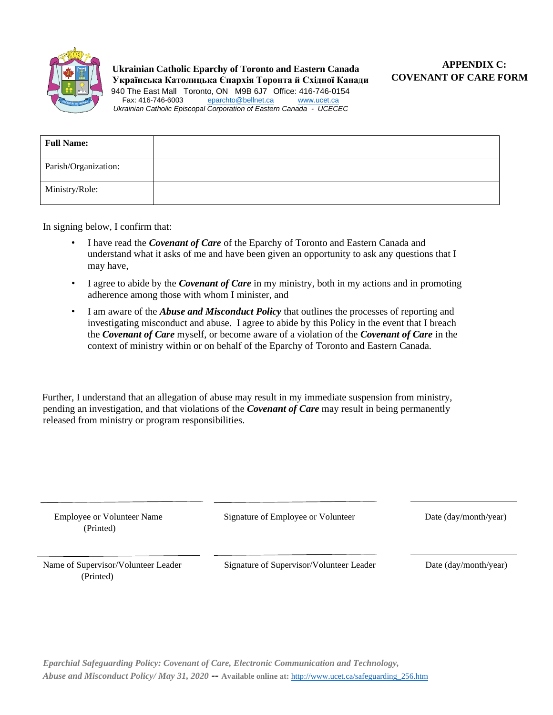

| <b>Full Name:</b>    |  |
|----------------------|--|
| Parish/Organization: |  |
| Ministry/Role:       |  |

In signing below, I confirm that:

- I have read the *Covenant of Care* of the Eparchy of Toronto and Eastern Canada and understand what it asks of me and have been given an opportunity to ask any questions that I may have,
- I agree to abide by the *Covenant of Care* in my ministry, both in my actions and in promoting adherence among those with whom I minister, and
- I am aware of the *Abuse and Misconduct Policy* that outlines the processes of reporting and investigating misconduct and abuse. I agree to abide by this Policy in the event that I breach the *Covenant of Care* myself, or become aware of a violation of the *Covenant of Care* in the context of ministry within or on behalf of the Eparchy of Toronto and Eastern Canada*.*

Further, I understand that an allegation of abuse may result in my immediate suspension from ministry, pending an investigation, and that violations of the *Covenant of Care* may result in being permanently released from ministry or program responsibilities.

| <b>Employee or Volunteer Name</b><br>(Printed)   | Signature of Employee or Volunteer       | Date (day/month/year) |
|--------------------------------------------------|------------------------------------------|-----------------------|
| Name of Supervisor/Volunteer Leader<br>(Printed) | Signature of Supervisor/Volunteer Leader | Date (day/month/year) |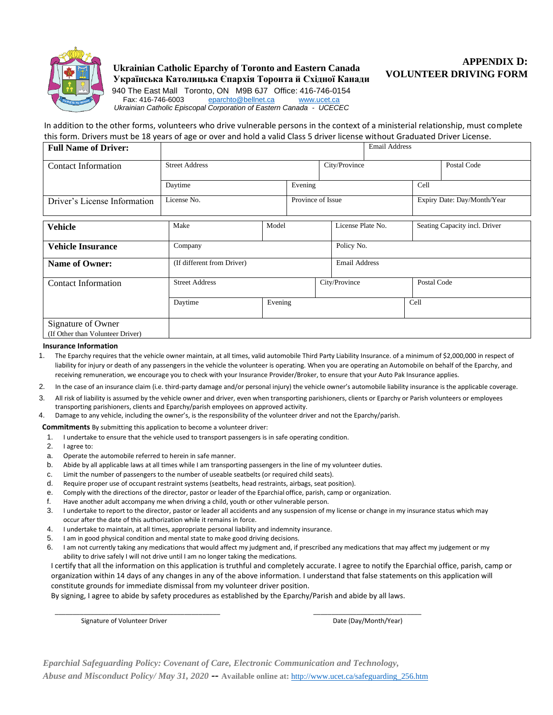

#### **Ukrainian Catholic Eparchy of Toronto and Eastern Canada Українська Католицька Єпархія Торонта й Східної Канади**

**APPENDIX D: VOLUNTEER DRIVING FORM** 

940 The East Mall Toronto, ON M9B 6J7 Office: 416-746-0154<br>Fax: 416-746-6003 eparchto@bellnet.ca www.ucet.ca [eparchto@bellnet.ca](mailto:eparchto@bellnet.ca) [www.ucet.ca](http://www.ucet.ca/) *Ukrainian Catholic Episcopal Corporation of Eastern Canada - UCECEC*

In addition to the other forms, volunteers who drive vulnerable persons in the context of a ministerial relationship, must complete this form. Drivers must be 18 years of age or over and hold a valid Class 5 driver license without Graduated Driver License.

| <b>Full Name of Driver:</b>                            |                                  |         |         |               |                      | <b>Email Address</b>        |             |                               |
|--------------------------------------------------------|----------------------------------|---------|---------|---------------|----------------------|-----------------------------|-------------|-------------------------------|
| <b>Contact Information</b>                             | <b>Street Address</b>            |         |         | City/Province |                      |                             | Postal Code |                               |
|                                                        | Daytime                          |         | Evening |               |                      |                             | Cell        |                               |
| Driver's License Information                           | License No.<br>Province of Issue |         |         |               |                      | Expiry Date: Day/Month/Year |             |                               |
| <b>Vehicle</b>                                         | Make                             | Model   |         |               | License Plate No.    |                             |             | Seating Capacity incl. Driver |
| <b>Vehicle Insurance</b>                               | Company                          |         |         |               | Policy No.           |                             |             |                               |
| <b>Name of Owner:</b>                                  | (If different from Driver)       |         |         |               | <b>Email Address</b> |                             |             |                               |
| <b>Contact Information</b>                             | <b>Street Address</b>            |         |         |               | City/Province        |                             | Postal Code |                               |
|                                                        | Daytime                          | Evening |         |               |                      |                             | Cell        |                               |
| Signature of Owner<br>(If Other than Volunteer Driver) |                                  |         |         |               |                      |                             |             |                               |

#### **Insurance Information**

1. The Eparchy requires that the vehicle owner maintain, at all times, valid automobile Third Party Liability Insurance. of a minimum of \$2,000,000 in respect of liability for injury or death of any passengers in the vehicle the volunteer is operating. When you are operating an Automobile on behalf of the Eparchy, and receiving remuneration, we encourage you to check with your Insurance Provider/Broker, to ensure that your Auto Pak Insurance applies.

- 2. In the case of an insurance claim (i.e. third-party damage and/or personal injury) the vehicle owner's automobile liability insurance is the applicable coverage.
- 3. All risk of liability is assumed by the vehicle owner and driver, even when transporting parishioners, clients or Eparchy or Parish volunteers or employees transporting parishioners, clients and Eparchy/parish employees on approved activity.
- 4. Damage to any vehicle, including the owner's, is the responsibility of the volunteer driver and not the Eparchy/parish.

**Commitments** By submitting this application to become a volunteer driver:

- 1. I undertake to ensure that the vehicle used to transport passengers is in safe operating condition.<br>2. I agree to:
- 2. I agree to:
- a. Operate the automobile referred to herein in safe manner.
- b. Abide by all applicable laws at all times while I am transporting passengers in the line of my volunteer duties.
- c. Limit the number of passengers to the number of useable seatbelts (or required child seats).
- d. Require proper use of occupant restraint systems (seatbelts, head restraints, airbags, seat position).
- e. Comply with the directions of the director, pastor or leader of the Eparchial office, parish, camp or organization.
- f. Have another adult accompany me when driving a child, youth or other vulnerable person.
- 3. I undertake to report to the director, pastor or leader all accidents and any suspension of my license or change in my insurance status which may occur after the date of this authorization while it remains in force.
- 4. I undertake to maintain, at all times, appropriate personal liability and indemnity insurance.
- 5. I am in good physical condition and mental state to make good driving decisions.
- 6. I am not currently taking any medications that would affect my judgment and, if prescribed any medications that may affect my judgement or my ability to drive safely I will not drive until I am no longer taking the medications.

I certify that all the information on this application is truthful and completely accurate. I agree to notify the Eparchial office, parish, camp or organization within 14 days of any changes in any of the above information. I understand that false statements on this application will constitute grounds for immediate dismissal from my volunteer driver position.

By signing, I agree to abide by safety procedures as established by the Eparchy/Parish and abide by all laws.

\_\_\_\_\_\_\_\_\_\_\_\_\_\_\_\_\_\_\_\_\_\_\_\_\_\_\_\_\_\_\_\_\_\_\_\_\_\_\_\_\_\_\_\_\_\_ \_\_\_\_\_\_\_\_\_\_\_\_\_\_\_\_\_\_\_\_\_\_\_\_\_\_\_\_\_\_

Signature of Volunteer Driver **Date (Day/Month/Year)** Date (Day/Month/Year)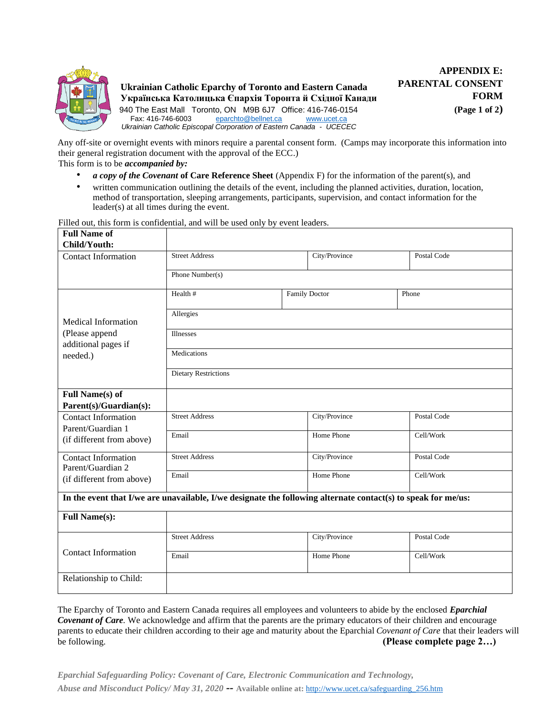

Any off-site or overnight events with minors require a parental consent form. (Camps may incorporate this information into their general registration document with the approval of the ECC.)

This form is to be *accompanied by:* 

- *a copy of the Covenant* **of Care Reference Sheet** (Appendix F) for the information of the parent(s), and
- written communication outlining the details of the event, including the planned activities, duration, location, method of transportation, sleeping arrangements, participants, supervision, and contact information for the leader(s) at all times during the event.

Filled out, this form is confidential, and will be used only by event leaders.

| <b>Full Name of</b>                             |                                                                                                               |                      |             |  |  |  |
|-------------------------------------------------|---------------------------------------------------------------------------------------------------------------|----------------------|-------------|--|--|--|
| Child/Youth:                                    |                                                                                                               |                      |             |  |  |  |
| <b>Contact Information</b>                      | <b>Street Address</b>                                                                                         | City/Province        | Postal Code |  |  |  |
|                                                 | Phone Number(s)                                                                                               |                      |             |  |  |  |
|                                                 | Health #                                                                                                      | <b>Family Doctor</b> | Phone       |  |  |  |
| Medical Information                             | Allergies                                                                                                     |                      |             |  |  |  |
| (Please append<br>additional pages if           | <b>Illnesses</b>                                                                                              |                      |             |  |  |  |
| needed.)                                        | Medications                                                                                                   |                      |             |  |  |  |
|                                                 | <b>Dietary Restrictions</b>                                                                                   |                      |             |  |  |  |
| <b>Full Name(s) of</b>                          |                                                                                                               |                      |             |  |  |  |
| Parent(s)/Guardian(s):                          |                                                                                                               |                      |             |  |  |  |
| <b>Contact Information</b><br>Parent/Guardian 1 | <b>Street Address</b>                                                                                         | City/Province        | Postal Code |  |  |  |
| (if different from above)                       | Email                                                                                                         | Home Phone           | Cell/Work   |  |  |  |
| <b>Contact Information</b><br>Parent/Guardian 2 | <b>Street Address</b>                                                                                         | City/Province        | Postal Code |  |  |  |
| (if different from above)                       | Email                                                                                                         | Home Phone           | Cell/Work   |  |  |  |
|                                                 | In the event that I/we are unavailable, I/we designate the following alternate contact(s) to speak for me/us: |                      |             |  |  |  |
| <b>Full Name(s):</b>                            |                                                                                                               |                      |             |  |  |  |
|                                                 | <b>Street Address</b>                                                                                         | City/Province        | Postal Code |  |  |  |
|                                                 | Email                                                                                                         | Home Phone           | Cell/Work   |  |  |  |
| Relationship to Child:                          |                                                                                                               |                      |             |  |  |  |
| <b>Contact Information</b>                      |                                                                                                               |                      |             |  |  |  |

The Eparchy of Toronto and Eastern Canada requires all employees and volunteers to abide by the enclosed *Eparchial Covenant of Care.* We acknowledge and affirm that the parents are the primary educators of their children and encourage parents to educate their children according to their age and maturity about the Eparchial *Covenant of Care* that their leaders will be following. **(Please complete page 2…)**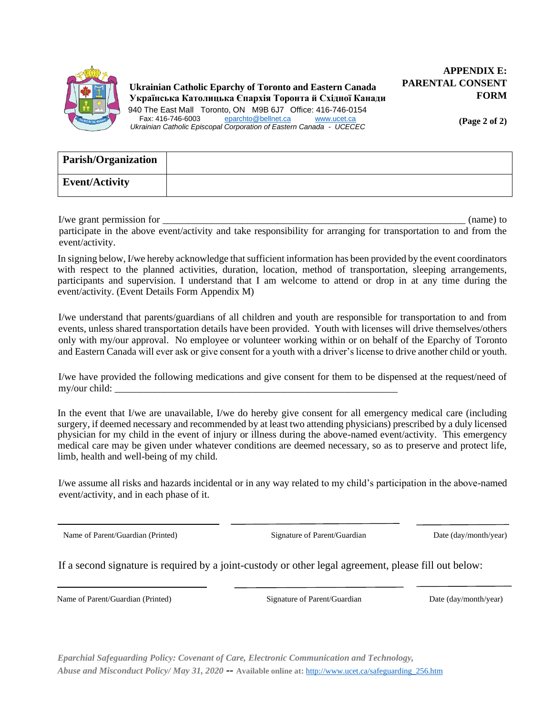

**(Page 2 of 2)** 

| <b>Parish/Organization</b> |  |
|----------------------------|--|
| Event/Activity             |  |

I/we grant permission for  $\blacksquare$ 

participate in the above event/activity and take responsibility for arranging for transportation to and from the event/activity.

In signing below, I/we hereby acknowledge that sufficient information has been provided by the event coordinators with respect to the planned activities, duration, location, method of transportation, sleeping arrangements, participants and supervision. I understand that I am welcome to attend or drop in at any time during the event/activity. (Event Details Form Appendix M)

I/we understand that parents/guardians of all children and youth are responsible for transportation to and from events, unless shared transportation details have been provided. Youth with licenses will drive themselves/others only with my/our approval. No employee or volunteer working within or on behalf of the Eparchy of Toronto and Eastern Canada will ever ask or give consent for a youth with a driver's license to drive another child or youth.

I/we have provided the following medications and give consent for them to be dispensed at the request/need of my/our child:

In the event that I/we are unavailable, I/we do hereby give consent for all emergency medical care (including surgery, if deemed necessary and recommended by at least two attending physicians) prescribed by a duly licensed physician for my child in the event of injury or illness during the above-named event/activity. This emergency medical care may be given under whatever conditions are deemed necessary, so as to preserve and protect life, limb, health and well-being of my child.

I/we assume all risks and hazards incidental or in any way related to my child's participation in the above-named event/activity, and in each phase of it.

Name of Parent/Guardian (Printed) Signature of Parent/Guardian Date (day/month/year)

If a second signature is required by a joint-custody or other legal agreement, please fill out below:

Name of Parent/Guardian (Printed) Signature of Parent/Guardian Date (day/month/year)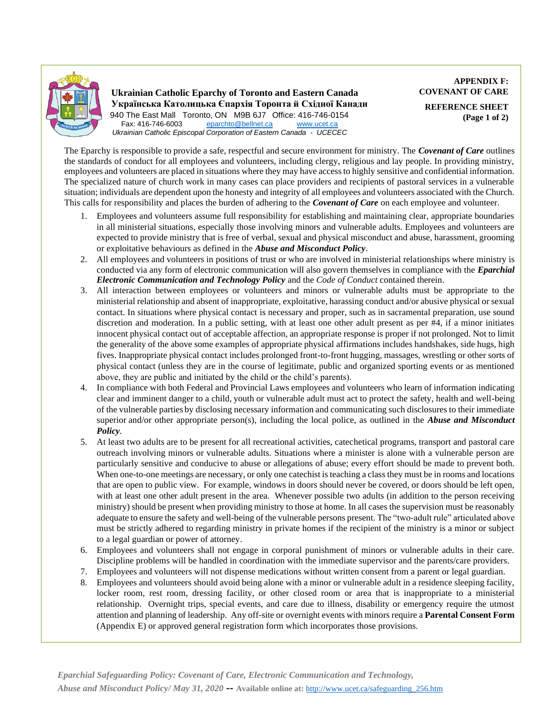

**APPENDIX F: COVENANT OF CARE REFERENCE SHEET (Page 1 of 2)** 

The Eparchy is responsible to provide a safe, respectful and secure environment for ministry. The *Covenant of Care* outlines the standards of conduct for all employees and volunteers, including clergy, religious and lay people. In providing ministry, employees and volunteers are placed in situations where they may have access to highly sensitive and confidential information. The specialized nature of church work in many cases can place providers and recipients of pastoral services in a vulnerable situation; individuals are dependent upon the honesty and integrity of all employees and volunteers associated with the Church. This calls for responsibility and places the burden of adhering to the *Covenant of Care* on each employee and volunteer.

- 1. Employees and volunteers assume full responsibility for establishing and maintaining clear, appropriate boundaries in all ministerial situations, especially those involving minors and vulnerable adults. Employees and volunteers are expected to provide ministry that is free of verbal, sexual and physical misconduct and abuse, harassment, grooming or exploitative behaviours as defined in the *Abuse and Misconduct Policy*.
- 2. All employees and volunteers in positions of trust or who are involved in ministerial relationships where ministry is conducted via any form of electronic communication will also govern themselves in compliance with the *Eparchial Electronic Communication and Technology Policy* and the *Code of Conduct* contained therein.
- 3. All interaction between employees or volunteers and minors or vulnerable adults must be appropriate to the ministerial relationship and absent of inappropriate, exploitative, harassing conduct and/or abusive physical or sexual contact. In situations where physical contact is necessary and proper, such as in sacramental preparation, use sound discretion and moderation. In a public setting, with at least one other adult present as per #4, if a minor initiates innocent physical contact out of acceptable affection, an appropriate response is proper if not prolonged. Not to limit the generality of the above some examples of appropriate physical affirmations includes handshakes, side hugs, high fives. Inappropriate physical contact includes prolonged front-to-front hugging, massages, wrestling or other sorts of physical contact (unless they are in the course of legitimate, public and organized sporting events or as mentioned above, they are public and initiated by the child or the child's parents).
- 4. In compliance with both Federal and Provincial Laws employees and volunteers who learn of information indicating clear and imminent danger to a child, youth or vulnerable adult must act to protect the safety, health and well-being of the vulnerable parties by disclosing necessary information and communicating such disclosures to their immediate superior and/or other appropriate person(s), including the local police, as outlined in the *Abuse and Misconduct Policy.*
- 5. At least two adults are to be present for all recreational activities, catechetical programs, transport and pastoral care outreach involving minors or vulnerable adults. Situations where a minister is alone with a vulnerable person are particularly sensitive and conducive to abuse or allegations of abuse; every effort should be made to prevent both. When one-to-one meetings are necessary, or only one cate chist is teaching a class they must be in rooms and locations that are open to public view. For example, windows in doors should never be covered, or doors should be left open, with at least one other adult present in the area. Whenever possible two adults (in addition to the person receiving ministry) should be present when providing ministry to those at home. In all cases the supervision must be reasonably adequate to ensure the safety and well-being of the vulnerable persons present. The "two-adult rule" articulated above must be strictly adhered to regarding ministry in private homes if the recipient of the ministry is a minor or subject to a legal guardian or power of attorney.
- 6. Employees and volunteers shall not engage in corporal punishment of minors or vulnerable adults in their care. Discipline problems will be handled in coordination with the immediate supervisor and the parents/care providers.
- 7. Employees and volunteers will not dispense medications without written consent from a parent or legal guardian.
- 8. Employees and volunteers should avoid being alone with a minor or vulnerable adult in a residence sleeping facility, locker room, rest room, dressing facility, or other closed room or area that is inappropriate to a ministerial relationship. Overnight trips, special events, and care due to illness, disability or emergency require the utmost attention and planning of leadership. Any off-site or overnight events with minors require a **Parental Consent Form** (Appendix E) or approved general registration form which incorporates those provisions.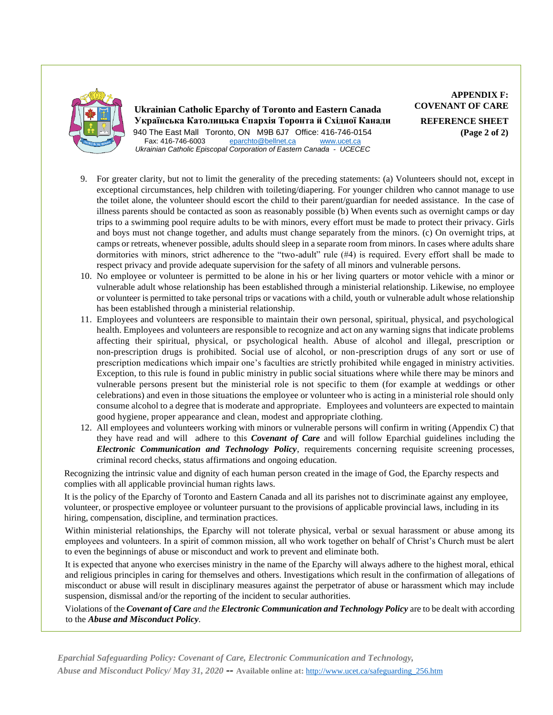

**APPENDIX F: COVENANT OF CARE REFERENCE SHEET (Page 2 of 2)** 

- 9. For greater clarity, but not to limit the generality of the preceding statements: (a) Volunteers should not, except in exceptional circumstances, help children with toileting/diapering. For younger children who cannot manage to use the toilet alone, the volunteer should escort the child to their parent/guardian for needed assistance. In the case of illness parents should be contacted as soon as reasonably possible (b) When events such as overnight camps or day trips to a swimming pool require adults to be with minors, every effort must be made to protect their privacy. Girls and boys must not change together, and adults must change separately from the minors. (c) On overnight trips, at camps or retreats, whenever possible, adults should sleep in a separate room from minors. In cases where adults share dormitories with minors, strict adherence to the "two-adult" rule (#4) is required. Every effort shall be made to respect privacy and provide adequate supervision for the safety of all minors and vulnerable persons.
- 10. No employee or volunteer is permitted to be alone in his or her living quarters or motor vehicle with a minor or vulnerable adult whose relationship has been established through a ministerial relationship. Likewise, no employee or volunteer is permitted to take personal trips or vacations with a child, youth or vulnerable adult whose relationship has been established through a ministerial relationship.
- 11. Employees and volunteers are responsible to maintain their own personal, spiritual, physical, and psychological health. Employees and volunteers are responsible to recognize and act on any warning signs that indicate problems affecting their spiritual, physical, or psychological health. Abuse of alcohol and illegal, prescription or non-prescription drugs is prohibited. Social use of alcohol, or non-prescription drugs of any sort or use of prescription medications which impair one's faculties are strictly prohibited while engaged in ministry activities. Exception, to this rule is found in public ministry in public social situations where while there may be minors and vulnerable persons present but the ministerial role is not specific to them (for example at weddings or other celebrations) and even in those situations the employee or volunteer who is acting in a ministerial role should only consume alcohol to a degree that is moderate and appropriate. Employees and volunteers are expected to maintain good hygiene, proper appearance and clean, modest and appropriate clothing.
- 12. All employees and volunteers working with minors or vulnerable persons will confirm in writing (Appendix C) that they have read and will adhere to this *Covenant of Care* and will follow Eparchial guidelines including the *Electronic Communication and Technology Policy*, requirements concerning requisite screening processes, criminal record checks, status affirmations and ongoing education.

Recognizing the intrinsic value and dignity of each human person created in the image of God, the Eparchy respects and complies with all applicable provincial human rights laws.

It is the policy of the Eparchy of Toronto and Eastern Canada and all its parishes not to discriminate against any employee, volunteer, or prospective employee or volunteer pursuant to the provisions of applicable provincial laws, including in its hiring, compensation, discipline, and termination practices.

Within ministerial relationships, the Eparchy will not tolerate physical, verbal or sexual harassment or abuse among its employees and volunteers. In a spirit of common mission, all who work together on behalf of Christ's Church must be alert to even the beginnings of abuse or misconduct and work to prevent and eliminate both.

It is expected that anyone who exercises ministry in the name of the Eparchy will always adhere to the highest moral, ethical and religious principles in caring for themselves and others. Investigations which result in the confirmation of allegations of misconduct or abuse will result in disciplinary measures against the perpetrator of abuse or harassment which may include suspension, dismissal and/or the reporting of the incident to secular authorities.

Violations of the *Covenant of Care and the Electronic Communication and Technology Policy* are to be dealt with according to the *Abuse and Misconduct Policy.*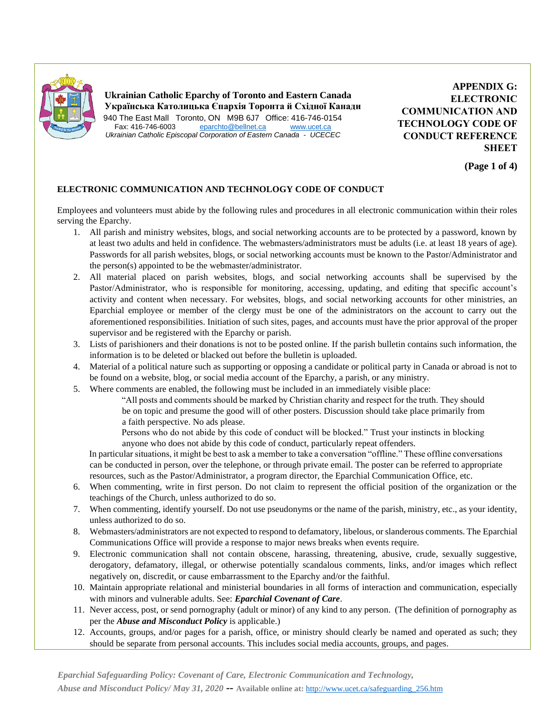

**APPENDIX G: ELECTRONIC COMMUNICATION AND TECHNOLOGY CODE OF CONDUCT REFERENCE SHEET**

**(Page 1 of 4)**

#### **ELECTRONIC COMMUNICATION AND TECHNOLOGY CODE OF CONDUCT**

Employees and volunteers must abide by the following rules and procedures in all electronic communication within their roles serving the Eparchy.

- 1. All parish and ministry websites, blogs, and social networking accounts are to be protected by a password, known by at least two adults and held in confidence. The webmasters/administrators must be adults (i.e. at least 18 years of age). Passwords for all parish websites, blogs, or social networking accounts must be known to the Pastor/Administrator and the person(s) appointed to be the webmaster/administrator.
- 2. All material placed on parish websites, blogs, and social networking accounts shall be supervised by the Pastor/Administrator, who is responsible for monitoring, accessing, updating, and editing that specific account's activity and content when necessary. For websites, blogs, and social networking accounts for other ministries, an Eparchial employee or member of the clergy must be one of the administrators on the account to carry out the aforementioned responsibilities. Initiation of such sites, pages, and accounts must have the prior approval of the proper supervisor and be registered with the Eparchy or parish.
- 3. Lists of parishioners and their donations is not to be posted online. If the parish bulletin contains such information, the information is to be deleted or blacked out before the bulletin is uploaded.
- 4. Material of a political nature such as supporting or opposing a candidate or political party in Canada or abroad is not to be found on a website, blog, or social media account of the Eparchy, a parish, or any ministry.
- 5. Where comments are enabled, the following must be included in an immediately visible place:
	- "All posts and comments should be marked by Christian charity and respect for the truth. They should be on topic and presume the good will of other posters. Discussion should take place primarily from a faith perspective. No ads please.
	- Persons who do not abide by this code of conduct will be blocked." Trust your instincts in blocking anyone who does not abide by this code of conduct, particularly repeat offenders.

In particular situations, it might be best to ask a member to take a conversation "offline." These offline conversations can be conducted in person, over the telephone, or through private email. The poster can be referred to appropriate resources, such as the Pastor/Administrator, a program director, the Eparchial Communication Office, etc.

- 6. When commenting, write in first person. Do not claim to represent the official position of the organization or the teachings of the Church, unless authorized to do so.
- 7. When commenting, identify yourself. Do not use pseudonyms or the name of the parish, ministry, etc., as your identity, unless authorized to do so.
- 8. Webmasters/administrators are not expected to respond to defamatory, libelous, or slanderous comments. The Eparchial Communications Office will provide a response to major news breaks when events require.
- 9. Electronic communication shall not contain obscene, harassing, threatening, abusive, crude, sexually suggestive, derogatory, defamatory, illegal, or otherwise potentially scandalous comments, links, and/or images which reflect negatively on, discredit, or cause embarrassment to the Eparchy and/or the faithful.
- 10. Maintain appropriate relational and ministerial boundaries in all forms of interaction and communication, especially with minors and vulnerable adults. See: *Eparchial Covenant of Care*.
- 11. Never access, post, or send pornography (adult or minor) of any kind to any person. (The definition of pornography as per the *Abuse and Misconduct Policy* is applicable.)
- 12. Accounts, groups, and/or pages for a parish, office, or ministry should clearly be named and operated as such; they should be separate from personal accounts. This includes social media accounts, groups, and pages.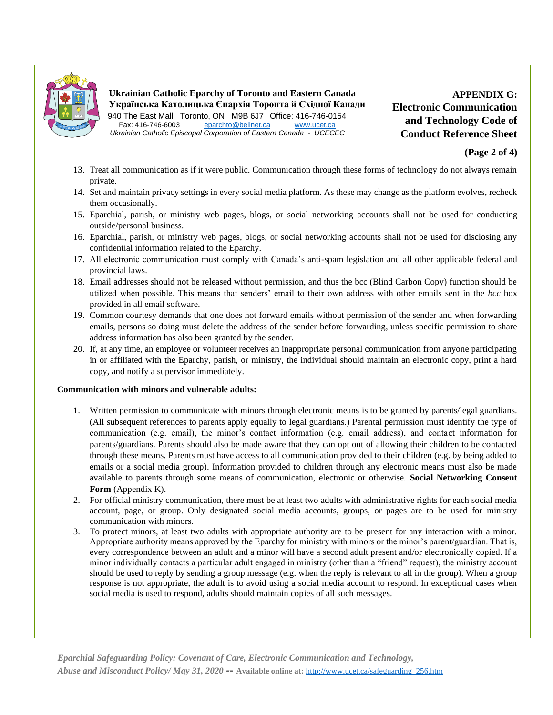

**APPENDIX G: Electronic Communication and Technology Code of Conduct Reference Sheet**

- 13. Treat all communication as if it were public. Communication through these forms of technology do not always remain private.
- 14. Set and maintain privacy settings in every social media platform. As these may change as the platform evolves, recheck them occasionally.
- 15. Eparchial, parish, or ministry web pages, blogs, or social networking accounts shall not be used for conducting outside/personal business.
- 16. Eparchial, parish, or ministry web pages, blogs, or social networking accounts shall not be used for disclosing any confidential information related to the Eparchy.
- 17. All electronic communication must comply with Canada's anti-spam legislation and all other applicable federal and provincial laws.
- 18. Email addresses should not be released without permission, and thus the bcc (Blind Carbon Copy) function should be utilized when possible. This means that senders' email to their own address with other emails sent in the *bcc* box provided in all email software.
- 19. Common courtesy demands that one does not forward emails without permission of the sender and when forwarding emails, persons so doing must delete the address of the sender before forwarding, unless specific permission to share address information has also been granted by the sender.
- 20. If, at any time, an employee or volunteer receives an inappropriate personal communication from anyone participating in or affiliated with the Eparchy, parish, or ministry, the individual should maintain an electronic copy, print a hard copy, and notify a supervisor immediately.

#### **Communication with minors and vulnerable adults:**

- 1. Written permission to communicate with minors through electronic means is to be granted by parents/legal guardians. (All subsequent references to parents apply equally to legal guardians.) Parental permission must identify the type of communication (e.g. email), the minor's contact information (e.g. email address), and contact information for parents/guardians. Parents should also be made aware that they can opt out of allowing their children to be contacted through these means. Parents must have access to all communication provided to their children (e.g. by being added to emails or a social media group). Information provided to children through any electronic means must also be made available to parents through some means of communication, electronic or otherwise. **Social Networking Consent Form** (Appendix K).
- 2. For official ministry communication, there must be at least two adults with administrative rights for each social media account, page, or group. Only designated social media accounts, groups, or pages are to be used for ministry communication with minors.
- 3. To protect minors, at least two adults with appropriate authority are to be present for any interaction with a minor. Appropriate authority means approved by the Eparchy for ministry with minors or the minor's parent/guardian. That is, every correspondence between an adult and a minor will have a second adult present and/or electronically copied. If a minor individually contacts a particular adult engaged in ministry (other than a "friend" request), the ministry account should be used to reply by sending a group message (e.g. when the reply is relevant to all in the group). When a group response is not appropriate, the adult is to avoid using a social media account to respond. In exceptional cases when social media is used to respond, adults should maintain copies of all such messages.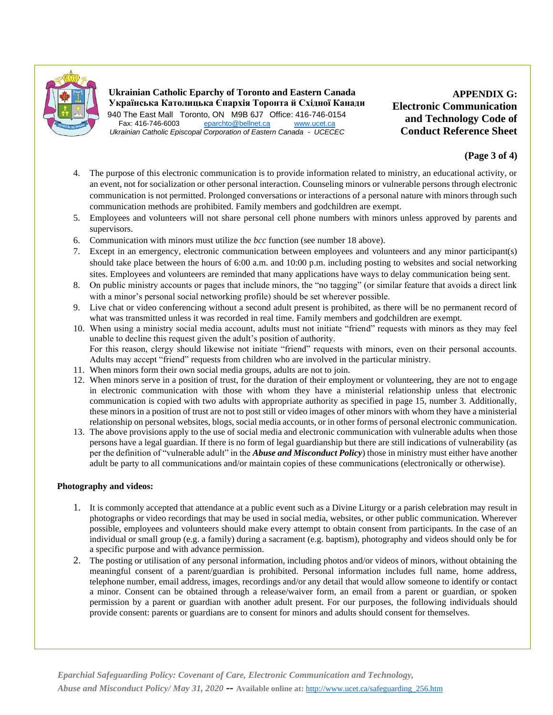

**Ukrainian Catholic Eparchy of Toronto and Eastern Canada Українська Католицька Єпархія Торонта й Східної Канади** 940 The East Mall Toronto, ON M9B 6J7 Office: 416-746-0154<br>Fax: 416-746-6003 eparchto@bellnet.ca www.ucet.ca eparchto@bellnet.ca

*Ukrainian Catholic Episcopal Corporation of Eastern Canada - UCECEC*

**APPENDIX G: Electronic Communication and Technology Code of Conduct Reference Sheet**

#### **(Page 3 of 4)**

- 4. The purpose of this electronic communication is to provide information related to ministry, an educational activity, or an event, not for socialization or other personal interaction. Counseling minors or vulnerable persons through electronic communication is not permitted. Prolonged conversations or interactions of a personal nature with minors through such communication methods are prohibited. Family members and godchildren are exempt.
- 5. Employees and volunteers will not share personal cell phone numbers with minors unless approved by parents and supervisors.
- 6. Communication with minors must utilize the *bcc* function (see number 18 above).
- 7. Except in an emergency, electronic communication between employees and volunteers and any minor participant(s) should take place between the hours of 6:00 a.m. and 10:00 p.m. including posting to websites and social networking sites. Employees and volunteers are reminded that many applications have ways to delay communication being sent.
- 8. On public ministry accounts or pages that include minors, the "no tagging" (or similar feature that avoids a direct link with a minor's personal social networking profile) should be set wherever possible.
- 9. Live chat or video conferencing without a second adult present is prohibited, as there will be no permanent record of what was transmitted unless it was recorded in real time. Family members and godchildren are exempt.
- 10. When using a ministry social media account, adults must not initiate "friend" requests with minors as they may feel unable to decline this request given the adult's position of authority. For this reason, clergy should likewise not initiate "friend" requests with minors, even on their personal accounts. Adults may accept "friend" requests from children who are involved in the particular ministry.
- 11. When minors form their own social media groups, adults are not to join.
- 12. When minors serve in a position of trust, for the duration of their employment or volunteering, they are not to engage in electronic communication with those with whom they have a ministerial relationship unless that electronic communication is copied with two adults with appropriate authority as specified in page 15, number 3. Additionally, these minors in a position of trust are not to post still or video images of other minors with whom they have a ministerial relationship on personal websites, blogs, social media accounts, or in other forms of personal electronic communication.
- 13. The above provisions apply to the use of social media and electronic communication with vulnerable adults when those persons have a legal guardian. If there is no form of legal guardianship but there are still indications of vulnerability (as per the definition of "vulnerable adult" in the *Abuse and Misconduct Policy*) those in ministry must either have another adult be party to all communications and/or maintain copies of these communications (electronically or otherwise).

#### **Photography and videos:**

- 1. It is commonly accepted that attendance at a public event such as a Divine Liturgy or a parish celebration may result in photographs or video recordings that may be used in social media, websites, or other public communication. Wherever possible, employees and volunteers should make every attempt to obtain consent from participants. In the case of an individual or small group (e.g. a family) during a sacrament (e.g. baptism), photography and videos should only be for a specific purpose and with advance permission.
- 2. The posting or utilisation of any personal information, including photos and/or videos of minors, without obtaining the meaningful consent of a parent/guardian is prohibited. Personal information includes full name, home address, telephone number, email address, images, recordings and/or any detail that would allow someone to identify or contact a minor. Consent can be obtained through a release/waiver form, an email from a parent or guardian, or spoken permission by a parent or guardian with another adult present. For our purposes, the following individuals should provide consent: parents or guardians are to consent for minors and adults should consent for themselves.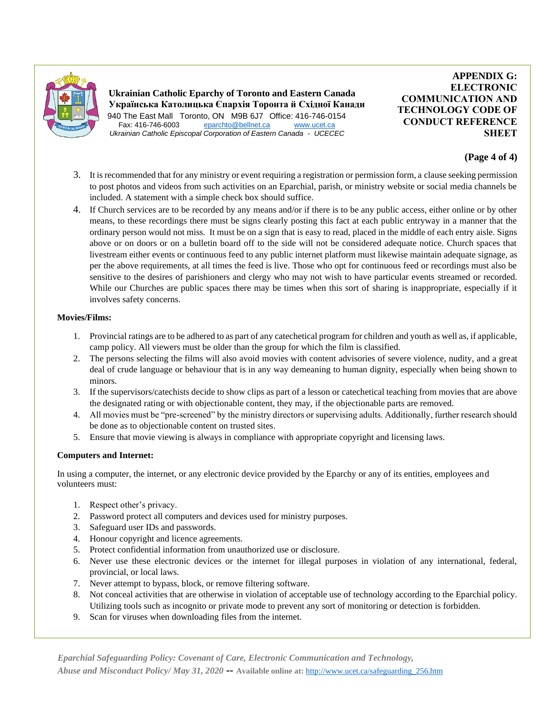

**APPENDIX G: ELECTRONIC COMMUNICATION AND TECHNOLOGY CODE OF CONDUCT REFERENCE SHEET**

#### **(Page 4 of 4)**

- 3. It is recommended that for any ministry or event requiring a registration or permission form, a clause seeking permission to post photos and videos from such activities on an Eparchial, parish, or ministry website or social media channels be included. A statement with a simple check box should suffice.
- 4. If Church services are to be recorded by any means and/or if there is to be any public access, either online or by other means, to these recordings there must be signs clearly posting this fact at each public entryway in a manner that the ordinary person would not miss. It must be on a sign that is easy to read, placed in the middle of each entry aisle. Signs above or on doors or on a bulletin board off to the side will not be considered adequate notice. Church spaces that livestream either events or continuous feed to any public internet platform must likewise maintain adequate signage, as per the above requirements, at all times the feed is live. Those who opt for continuous feed or recordings must also be sensitive to the desires of parishioners and clergy who may not wish to have particular events streamed or recorded. While our Churches are public spaces there may be times when this sort of sharing is inappropriate, especially if it involves safety concerns.

#### **Movies/Films:**

- 1. Provincial ratings are to be adhered to as part of any catechetical program for children and youth as well as, if applicable, camp policy. All viewers must be older than the group for which the film is classified.
- 2. The persons selecting the films will also avoid movies with content advisories of severe violence, nudity, and a great deal of crude language or behaviour that is in any way demeaning to human dignity, especially when being shown to minors.
- 3. If the supervisors/catechists decide to show clips as part of a lesson or catechetical teaching from movies that are above the designated rating or with objectionable content, they may, if the objectionable parts are removed.
- 4. All movies must be "pre-screened" by the ministry directors or supervising adults. Additionally, further research should be done as to objectionable content on trusted sites.
- 5. Ensure that movie viewing is always in compliance with appropriate copyright and licensing laws.

#### **Computers and Internet:**

In using a computer, the internet, or any electronic device provided by the Eparchy or any of its entities, employees and volunteers must:

- 1. Respect other's privacy.
- 2. Password protect all computers and devices used for ministry purposes.
- 3. Safeguard user IDs and passwords.
- 4. Honour copyright and licence agreements.
- 5. Protect confidential information from unauthorized use or disclosure.
- 6. Never use these electronic devices or the internet for illegal purposes in violation of any international, federal, provincial, or local laws.
- 7. Never attempt to bypass, block, or remove filtering software.
- 8. Not conceal activities that are otherwise in violation of acceptable use of technology according to the Eparchial policy. Utilizing tools such as incognito or private mode to prevent any sort of monitoring or detection is forbidden.
- 9. Scan for viruses when downloading files from the internet.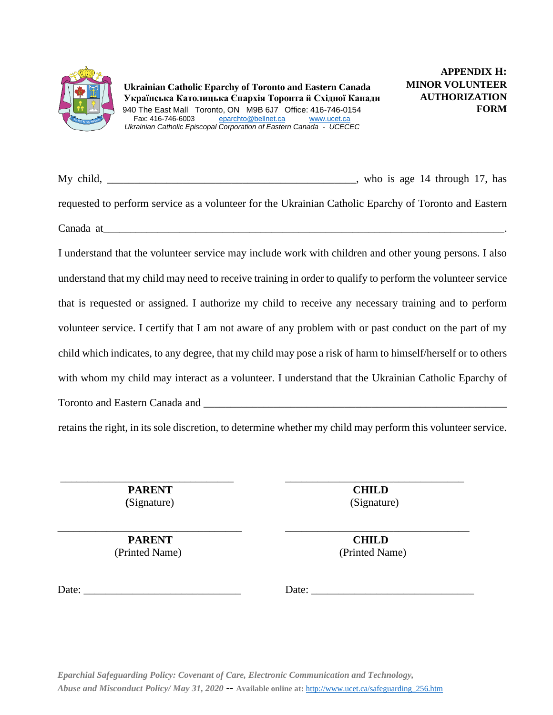

My child, \_\_\_\_\_\_\_\_\_\_\_\_\_\_\_\_\_\_\_\_\_\_\_\_\_\_\_\_\_\_\_\_\_\_\_\_\_\_\_\_\_\_\_\_\_\_, who is age 14 through 17, has requested to perform service as a volunteer for the Ukrainian Catholic Eparchy of Toronto and Eastern  $\emph{Canada at}$ 

I understand that the volunteer service may include work with children and other young persons. I also understand that my child may need to receive training in order to qualify to perform the volunteer service that is requested or assigned. I authorize my child to receive any necessary training and to perform volunteer service. I certify that I am not aware of any problem with or past conduct on the part of my child which indicates, to any degree, that my child may pose a risk of harm to himself/herself or to others with whom my child may interact as a volunteer. I understand that the Ukrainian Catholic Eparchy of Toronto and Eastern Canada and  $\Box$ 

retains the right, in its sole discretion, to determine whether my child may perform this volunteer service.

\_\_\_\_\_\_\_\_\_\_\_\_\_\_\_\_\_\_\_\_\_\_\_\_\_\_\_\_\_\_\_\_\_\_ \_\_\_\_\_\_\_\_\_\_\_\_\_\_\_\_\_\_\_\_\_\_\_\_\_\_\_\_\_\_\_\_\_\_

\_\_\_\_\_\_\_\_\_\_\_\_\_\_\_\_\_\_\_\_\_\_\_\_\_\_\_\_\_\_\_\_ \_\_\_\_\_\_\_\_\_\_\_\_\_\_\_\_\_\_\_\_\_\_\_\_\_\_\_\_\_\_\_\_\_  **PARENT CHILD (**Signature) (Signature)

 **PARENT CHILD**

(Printed Name) (Printed Name)

Date: \_\_\_\_\_\_\_\_\_\_\_\_\_\_\_\_\_\_\_\_\_\_\_\_\_\_\_\_\_ Date: \_\_\_\_\_\_\_\_\_\_\_\_\_\_\_\_\_\_\_\_\_\_\_\_\_\_\_\_\_\_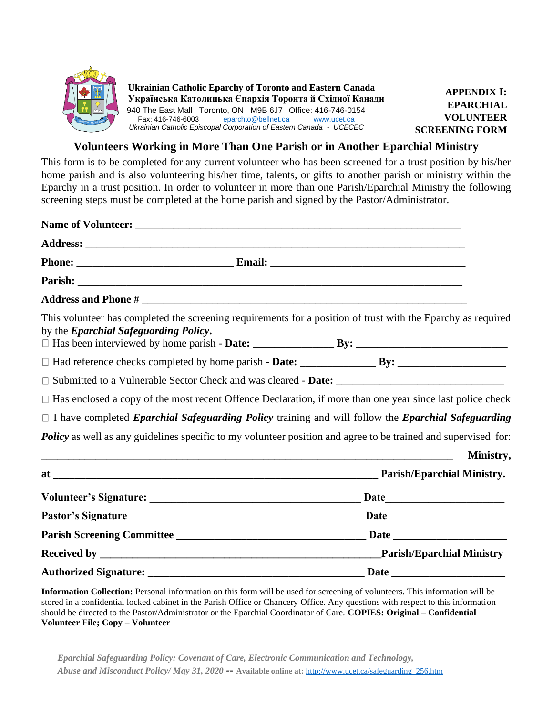

#### **Volunteers Working in More Than One Parish or in Another Eparchial Ministry**

This form is to be completed for any current volunteer who has been screened for a trust position by his/her home parish and is also volunteering his/her time, talents, or gifts to another parish or ministry within the Eparchy in a trust position. In order to volunteer in more than one Parish/Eparchial Ministry the following screening steps must be completed at the home parish and signed by the Pastor/Administrator.

| by the <i>Eparchial Safeguarding Policy</i> .                                                                        | This volunteer has completed the screening requirements for a position of trust with the Eparchy as required            |
|----------------------------------------------------------------------------------------------------------------------|-------------------------------------------------------------------------------------------------------------------------|
|                                                                                                                      |                                                                                                                         |
|                                                                                                                      |                                                                                                                         |
|                                                                                                                      | $\Box$ Has enclosed a copy of the most recent Offence Declaration, if more than one year since last police check        |
|                                                                                                                      | $\Box$ I have completed <i>Eparchial Safeguarding Policy</i> training and will follow the <i>Eparchial Safeguarding</i> |
|                                                                                                                      | Policy as well as any guidelines specific to my volunteer position and agree to be trained and supervised for:          |
| <u> 2008 - Jan Samuel Barbara, margaret eta bat zen bat zen bat zen bat zen bat zen bat zen bat zen bat zen bat </u> | Ministry,                                                                                                               |
|                                                                                                                      |                                                                                                                         |
|                                                                                                                      |                                                                                                                         |
|                                                                                                                      |                                                                                                                         |
|                                                                                                                      |                                                                                                                         |
|                                                                                                                      |                                                                                                                         |
|                                                                                                                      |                                                                                                                         |

**Information Collection:** Personal information on this form will be used for screening of volunteers. This information will be stored in a confidential locked cabinet in the Parish Office or Chancery Office. Any questions with respect to this information should be directed to the Pastor/Administrator or the Eparchial Coordinator of Care. **COPIES: Original – Confidential Volunteer File; Copy – Volunteer**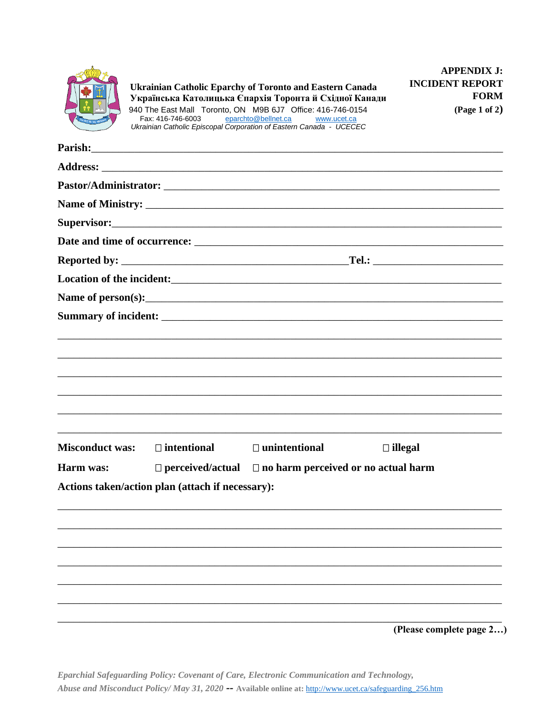

|                        | Parish:                                          |                                                                    |                                                               |  |
|------------------------|--------------------------------------------------|--------------------------------------------------------------------|---------------------------------------------------------------|--|
|                        |                                                  |                                                                    |                                                               |  |
|                        |                                                  |                                                                    |                                                               |  |
|                        |                                                  |                                                                    |                                                               |  |
|                        | Supervisor: New York Supervisor:                 |                                                                    |                                                               |  |
|                        |                                                  |                                                                    |                                                               |  |
|                        |                                                  |                                                                    |                                                               |  |
|                        |                                                  |                                                                    | Location of the incident:<br><u>Location</u> of the incident: |  |
|                        |                                                  |                                                                    |                                                               |  |
|                        |                                                  |                                                                    |                                                               |  |
|                        |                                                  |                                                                    |                                                               |  |
|                        |                                                  |                                                                    |                                                               |  |
|                        |                                                  |                                                                    |                                                               |  |
|                        |                                                  |                                                                    |                                                               |  |
|                        |                                                  |                                                                    |                                                               |  |
|                        |                                                  |                                                                    |                                                               |  |
| <b>Misconduct was:</b> | $\Box$ intentional                               | $\Box$ unintentional                                               | $\Box$ illegal                                                |  |
| Harm was:              |                                                  | $\Box$ perceived/actual $\Box$ no harm perceived or no actual harm |                                                               |  |
|                        | Actions taken/action plan (attach if necessary): |                                                                    |                                                               |  |
|                        |                                                  |                                                                    |                                                               |  |
|                        |                                                  |                                                                    |                                                               |  |
|                        |                                                  |                                                                    |                                                               |  |
|                        |                                                  |                                                                    |                                                               |  |
|                        |                                                  |                                                                    |                                                               |  |
|                        |                                                  |                                                                    |                                                               |  |
|                        |                                                  |                                                                    |                                                               |  |

(Please complete page 2...)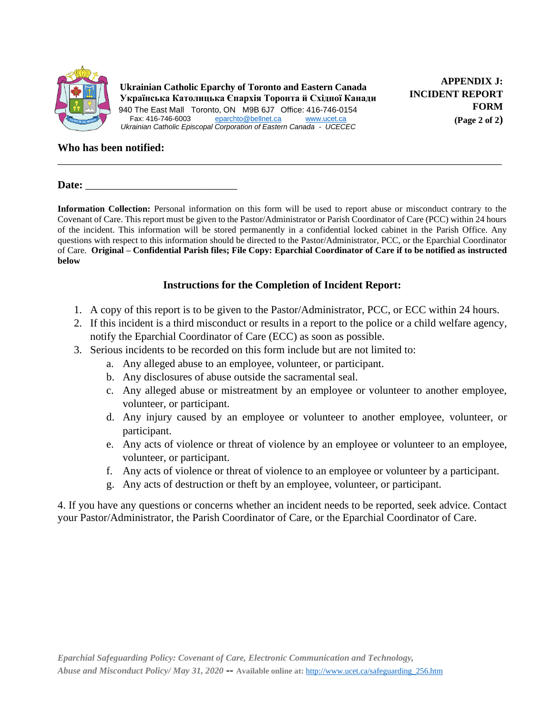

**APPENDIX J: INCIDENT REPORT FORM (Page 2 of 2)** 

#### **Who has been notified:**

Date:

**Information Collection:** Personal information on this form will be used to report abuse or misconduct contrary to the Covenant of Care. This report must be given to the Pastor/Administrator or Parish Coordinator of Care (PCC) within 24 hours of the incident. This information will be stored permanently in a confidential locked cabinet in the Parish Office. Any questions with respect to this information should be directed to the Pastor/Administrator, PCC, or the Eparchial Coordinator of Care. **Original – Confidential Parish files; File Copy: Eparchial Coordinator of Care if to be notified as instructed below**

\_\_\_\_\_\_\_\_\_\_\_\_\_\_\_\_\_\_\_\_\_\_\_\_\_\_\_\_\_\_\_\_\_\_\_\_\_\_\_\_\_\_\_\_\_\_\_\_\_\_\_\_\_\_\_\_\_\_\_\_\_\_\_\_\_\_\_\_\_\_\_\_\_\_\_\_\_\_\_\_\_\_

#### **Instructions for the Completion of Incident Report:**

- 1. A copy of this report is to be given to the Pastor/Administrator, PCC, or ECC within 24 hours.
- 2. If this incident is a third misconduct or results in a report to the police or a child welfare agency, notify the Eparchial Coordinator of Care (ECC) as soon as possible.
- 3. Serious incidents to be recorded on this form include but are not limited to:
	- a. Any alleged abuse to an employee, volunteer, or participant.
	- b. Any disclosures of abuse outside the sacramental seal.
	- c. Any alleged abuse or mistreatment by an employee or volunteer to another employee, volunteer, or participant.
	- d. Any injury caused by an employee or volunteer to another employee, volunteer, or participant.
	- e. Any acts of violence or threat of violence by an employee or volunteer to an employee, volunteer, or participant.
	- f. Any acts of violence or threat of violence to an employee or volunteer by a participant.
	- g. Any acts of destruction or theft by an employee, volunteer, or participant.

4. If you have any questions or concerns whether an incident needs to be reported, seek advice. Contact your Pastor/Administrator, the Parish Coordinator of Care, or the Eparchial Coordinator of Care.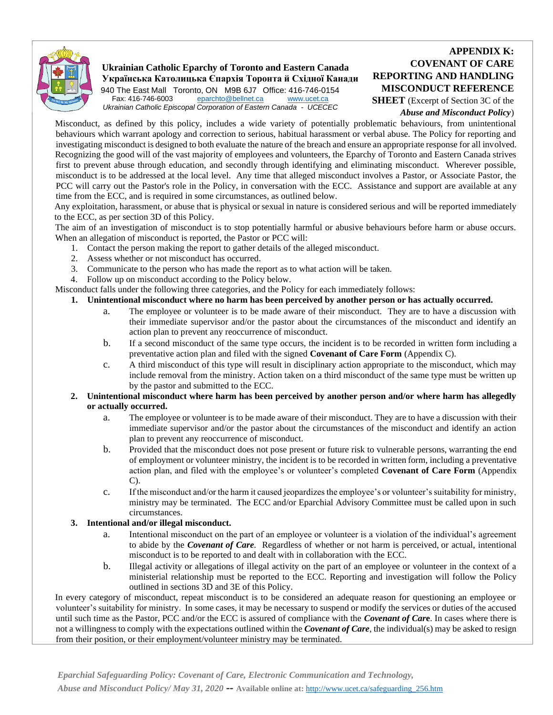

## **Ukrainian Catholic Eparchy of Toronto and Eastern Canada Українська Католицька Єпархія Торонта й Східної Канади**

940 The East Mall Toronto, ON M9B 6J7 Office: 416-746-0154<br>Fax: 416-746-6003 eparchto@bellnet.ca www.ucet.ca [eparchto@bellnet.ca](mailto:eparchto@bellnet.ca) [www.ucet.ca](http://www.ucet.ca/) *Ukrainian Catholic Episcopal Corporation of Eastern Canada - UCECEC*

#### **APPENDIX K: COVENANT OF CARE REPORTING AND HANDLING MISCONDUCT REFERENCE**

**SHEET** (Excerpt of Section 3C of the *Abuse and Misconduct Policy*)

Misconduct, as defined by this policy, includes a wide variety of potentially problematic behaviours, from unintentional behaviours which warrant apology and correction to serious, habitual harassment or verbal abuse. The Policy for reporting and investigating misconduct is designed to both evaluate the nature of the breach and ensure an appropriate response for all involved. Recognizing the good will of the vast majority of employees and volunteers, the Eparchy of Toronto and Eastern Canada strives first to prevent abuse through education, and secondly through identifying and eliminating misconduct. Wherever possible, misconduct is to be addressed at the local level. Any time that alleged misconduct involves a Pastor, or Associate Pastor, the PCC will carry out the Pastor's role in the Policy, in conversation with the ECC. Assistance and support are available at any time from the ECC, and is required in some circumstances, as outlined below.

Any exploitation, harassment, or abuse that is physical or sexual in nature is considered serious and will be reported immediately to the ECC, as per section 3D of this Policy.

The aim of an investigation of misconduct is to stop potentially harmful or abusive behaviours before harm or abuse occurs. When an allegation of misconduct is reported, the Pastor or PCC will:

- 1. Contact the person making the report to gather details of the alleged misconduct.
- 2. Assess whether or not misconduct has occurred.
- 3. Communicate to the person who has made the report as to what action will be taken.
- 4. Follow up on misconduct according to the Policy below.

Misconduct falls under the following three categories, and the Policy for each immediately follows:

#### **1. Unintentional misconduct where no harm has been perceived by another person or has actually occurred.**

- a. The employee or volunteer is to be made aware of their misconduct. They are to have a discussion with their immediate supervisor and/or the pastor about the circumstances of the misconduct and identify an action plan to prevent any reoccurrence of misconduct.
- b. If a second misconduct of the same type occurs, the incident is to be recorded in written form including a preventative action plan and filed with the signed **Covenant of Care Form** (Appendix C).
- c. A third misconduct of this type will result in disciplinary action appropriate to the misconduct, which may include removal from the ministry. Action taken on a third misconduct of the same type must be written up by the pastor and submitted to the ECC.

#### **2. Unintentional misconduct where harm has been perceived by another person and/or where harm has allegedly or actually occurred.**

- a. The employee or volunteer is to be made aware of their misconduct. They are to have a discussion with their immediate supervisor and/or the pastor about the circumstances of the misconduct and identify an action plan to prevent any reoccurrence of misconduct.
- b. Provided that the misconduct does not pose present or future risk to vulnerable persons, warranting the end of employment or volunteer ministry, the incident is to be recorded in written form, including a preventative action plan, and filed with the employee's or volunteer's completed **Covenant of Care Form** (Appendix C).
- c. If the misconduct and/or the harm it caused jeopardizes the employee's or volunteer's suitability for ministry, ministry may be terminated. The ECC and/or Eparchial Advisory Committee must be called upon in such circumstances.

#### **3. Intentional and/or illegal misconduct.**

- a. Intentional misconduct on the part of an employee or volunteer is a violation of the individual's agreement to abide by the *Covenant of Care.* Regardless of whether or not harm is perceived, or actual, intentional misconduct is to be reported to and dealt with in collaboration with the ECC.
- b. Illegal activity or allegations of illegal activity on the part of an employee or volunteer in the context of a ministerial relationship must be reported to the ECC. Reporting and investigation will follow the Policy outlined in sections 3D and 3E of this Policy.

In every category of misconduct, repeat misconduct is to be considered an adequate reason for questioning an employee or volunteer's suitability for ministry. In some cases, it may be necessary to suspend or modify the services or duties of the accused until such time as the Pastor, PCC and/or the ECC is assured of compliance with the *Covenant of Car***e**. In cases where there is not a willingness to comply with the expectations outlined within the *Covenant of Care*, the individual(s) may be asked to resign from their position, or their employment/volunteer ministry may be terminated.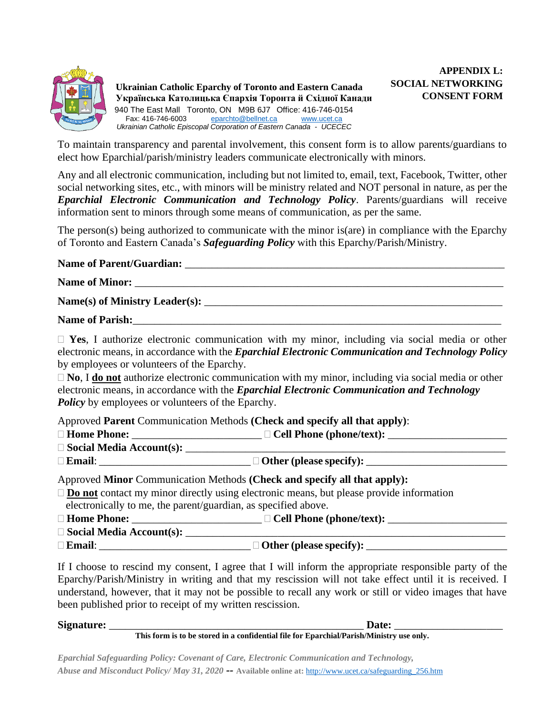

**APPENDIX L: SOCIAL NETWORKING CONSENT FORM** 

To maintain transparency and parental involvement, this consent form is to allow parents/guardians to elect how Eparchial/parish/ministry leaders communicate electronically with minors.

Any and all electronic communication, including but not limited to, email, text, Facebook, Twitter, other social networking sites, etc., with minors will be ministry related and NOT personal in nature, as per the *Eparchial Electronic Communication and Technology Policy*. Parents/guardians will receive information sent to minors through some means of communication, as per the same.

The person(s) being authorized to communicate with the minor is(are) in compliance with the Eparchy of Toronto and Eastern Canada's *Safeguarding Policy* with this Eparchy/Parish/Ministry.

#### Name of Parent/Guardian:

## Name of Minor:

**Name(s) of Ministry Leader(s):** \_\_\_\_\_\_\_\_\_\_\_\_\_\_\_\_\_\_\_\_\_\_\_\_\_\_\_\_\_\_\_\_\_\_\_\_\_\_\_\_\_\_\_\_\_\_\_\_\_\_\_\_\_\_\_

#### Name of Parish:

 **Yes**, I authorize electronic communication with my minor, including via social media or other electronic means, in accordance with the *Eparchial Electronic Communication and Technology Policy* by employees or volunteers of the Eparchy.

 **No**, I **do not** authorize electronic communication with my minor, including via social media or other electronic means, in accordance with the *Eparchial Electronic Communication and Technology Policy* by employees or volunteers of the Eparchy.

Approved **Parent** Communication Methods **(Check and specify all that apply)**:

| $\Box$ Home Phone:                                                       | $\Box$ Cell Phone (phone/text): _______                                                               |
|--------------------------------------------------------------------------|-------------------------------------------------------------------------------------------------------|
| $\square$ Social Media Account(s): $\_\_$                                |                                                                                                       |
| $\Box$ Email:                                                            |                                                                                                       |
| Approved Minor Communication Methods (Check and specify all that apply): |                                                                                                       |
|                                                                          | $\Box$ <b>Do not</b> contact my minor directly using electronic means, but please provide information |

electronically to me, the parent/guardian, as specified above.

**Home Phone:** \_\_\_\_\_\_\_\_\_\_\_\_\_\_\_\_\_\_\_\_\_\_\_\_ **Cell Phone (phone/text):** \_\_\_\_\_\_\_\_\_\_\_\_\_\_\_\_\_\_\_\_\_\_

- $\square$  Social Media Account(s):
- 

**Email:**  $\Box$  **Email:**  $\Box$  **Other (please specify):** 

If I choose to rescind my consent, I agree that I will inform the appropriate responsible party of the Eparchy/Parish/Ministry in writing and that my rescission will not take effect until it is received. I understand, however, that it may not be possible to recall any work or still or video images that have been published prior to receipt of my written rescission.

| <b>Signature:</b> | Date:                                                                                    |
|-------------------|------------------------------------------------------------------------------------------|
|                   | This form is to be stored in a confidential file for Eparchial/Parish/Ministry use only. |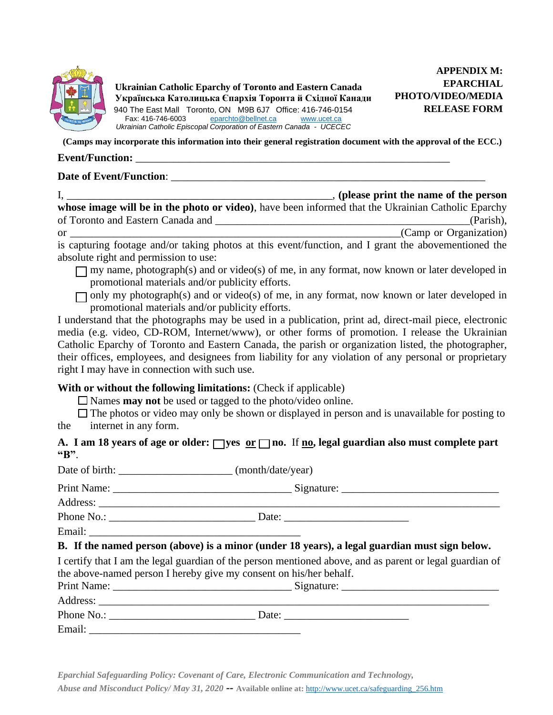

**APPENDIX M: EPARCHIAL PHOTO/VIDEO/MEDIA RELEASE FORM** 

**(Camps may incorporate this information into their general registration document with the approval of the ECC.)**

#### **Event/Function:**  $\blacksquare$

#### **Date of Event/Function:**  $\blacksquare$

|                                                                                                                        | , (please print the name of the person |
|------------------------------------------------------------------------------------------------------------------------|----------------------------------------|
| whose image will be in the photo or video), have been informed that the Ukrainian Catholic Eparchy                     |                                        |
| of Toronto and Eastern Canada and                                                                                      | (Parish),                              |
| 0r                                                                                                                     | (Camp or Organization)                 |
| $t_{\rm c}$ , and the final contract of the contract of the contraction of the second the contract of the state of the |                                        |

is capturing footage and/or taking photos at this event/function, and I grant the abovementioned the absolute right and permission to use:

- $\Box$  my name, photograph(s) and or video(s) of me, in any format, now known or later developed in promotional materials and/or publicity efforts.
- $\Box$  only my photograph(s) and or video(s) of me, in any format, now known or later developed in promotional materials and/or publicity efforts.

I understand that the photographs may be used in a publication, print ad, direct-mail piece, electronic media (e.g. video, CD-ROM, Internet/www), or other forms of promotion. I release the Ukrainian Catholic Eparchy of Toronto and Eastern Canada, the parish or organization listed, the photographer, their offices, employees, and designees from liability for any violation of any personal or proprietary right I may have in connection with such use.

#### **With or without the following limitations:** (Check if applicable)

Names **may not** be used or tagged to the photo/video online.

 $\Box$  The photos or video may only be shown or displayed in person and is unavailable for posting to the internet in any form.

#### A. I am 18 years of age or older:  $\Box$  yes  $\overline{\text{or}}$   $\Box$  no. If  $\underline{\text{no}}$ , legal guardian also must complete part **"B"**. j

| B. If the named person (above) is a minor (under 18 years), a legal guardian must sign below.                                                                                  |
|--------------------------------------------------------------------------------------------------------------------------------------------------------------------------------|
| I certify that I am the legal guardian of the person mentioned above, and as parent or legal guardian of<br>the above-named person I hereby give my consent on his/her behalf. |
|                                                                                                                                                                                |
|                                                                                                                                                                                |
|                                                                                                                                                                                |
|                                                                                                                                                                                |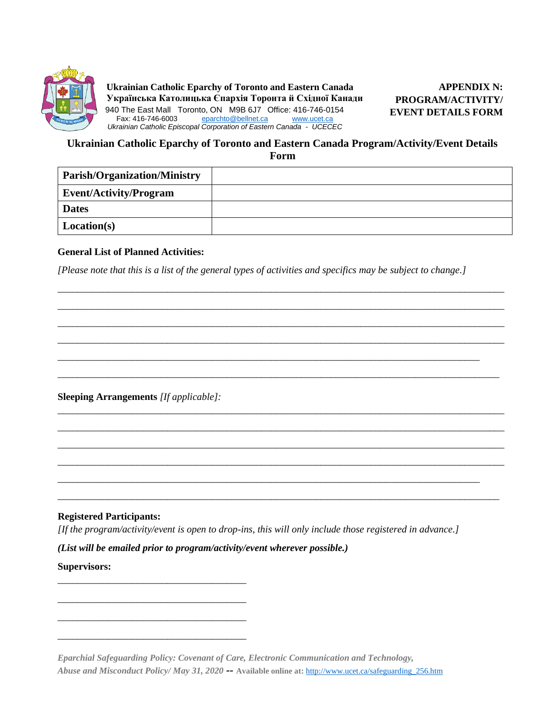

**APPENDIX N: PROGRAM/ACTIVITY/ EVENT DETAILS FORM** 

#### **Ukrainian Catholic Eparchy of Toronto and Eastern Canada Program/Activity/Event Details Form**

| <b>Parish/Organization/Ministry</b> |  |
|-------------------------------------|--|
| <b>Event/Activity/Program</b>       |  |
| <b>Dates</b>                        |  |
| Location(s)                         |  |

#### **General List of Planned Activities:**

*[Please note that this is a list of the general types of activities and specifics may be subject to change.]*

\_\_\_\_\_\_\_\_\_\_\_\_\_\_\_\_\_\_\_\_\_\_\_\_\_\_\_\_\_\_\_\_\_\_\_\_\_\_\_\_\_\_\_\_\_\_\_\_\_\_\_\_\_\_\_\_\_\_\_\_\_\_\_\_\_\_\_\_\_\_\_\_\_\_\_\_\_\_\_\_\_\_\_\_\_

\_\_\_\_\_\_\_\_\_\_\_\_\_\_\_\_\_\_\_\_\_\_\_\_\_\_\_\_\_\_\_\_\_\_\_\_\_\_\_\_\_\_\_\_\_\_\_\_\_\_\_\_\_\_\_\_\_\_\_\_\_\_\_\_\_\_\_\_\_\_\_\_\_\_\_\_\_\_\_\_\_\_\_\_\_\_\_\_\_

\_\_\_\_\_\_\_\_\_\_\_\_\_\_\_\_\_\_\_\_\_\_\_\_\_\_\_\_\_\_\_\_\_\_\_\_\_\_\_\_\_\_\_\_\_\_\_\_\_\_\_\_\_\_\_\_\_\_\_\_\_\_\_\_\_\_\_\_\_\_\_\_\_\_\_\_\_\_\_\_\_\_\_\_\_\_\_\_\_\_ \_\_\_\_\_\_\_\_\_\_\_\_\_\_\_\_\_\_\_\_\_\_\_\_\_\_\_\_\_\_\_\_\_\_\_\_\_\_\_\_\_\_\_\_\_\_\_\_\_\_\_\_\_\_\_\_\_\_\_\_\_\_\_\_\_\_\_\_\_\_\_\_\_\_\_\_\_\_\_\_\_\_\_\_\_\_\_\_\_\_ \_\_\_\_\_\_\_\_\_\_\_\_\_\_\_\_\_\_\_\_\_\_\_\_\_\_\_\_\_\_\_\_\_\_\_\_\_\_\_\_\_\_\_\_\_\_\_\_\_\_\_\_\_\_\_\_\_\_\_\_\_\_\_\_\_\_\_\_\_\_\_\_\_\_\_\_\_\_\_\_\_\_\_\_\_\_\_\_\_\_ \_\_\_\_\_\_\_\_\_\_\_\_\_\_\_\_\_\_\_\_\_\_\_\_\_\_\_\_\_\_\_\_\_\_\_\_\_\_\_\_\_\_\_\_\_\_\_\_\_\_\_\_\_\_\_\_\_\_\_\_\_\_\_\_\_\_\_\_\_\_\_\_\_\_\_\_\_\_\_\_\_\_\_\_\_\_\_\_\_\_

\_\_\_\_\_\_\_\_\_\_\_\_\_\_\_\_\_\_\_\_\_\_\_\_\_\_\_\_\_\_\_\_\_\_\_\_\_\_\_\_\_\_\_\_\_\_\_\_\_\_\_\_\_\_\_\_\_\_\_\_\_\_\_\_\_\_\_\_\_\_\_\_\_\_\_\_\_\_\_\_\_\_\_\_\_\_\_\_\_\_ \_\_\_\_\_\_\_\_\_\_\_\_\_\_\_\_\_\_\_\_\_\_\_\_\_\_\_\_\_\_\_\_\_\_\_\_\_\_\_\_\_\_\_\_\_\_\_\_\_\_\_\_\_\_\_\_\_\_\_\_\_\_\_\_\_\_\_\_\_\_\_\_\_\_\_\_\_\_\_\_\_\_\_\_\_\_\_\_\_\_ \_\_\_\_\_\_\_\_\_\_\_\_\_\_\_\_\_\_\_\_\_\_\_\_\_\_\_\_\_\_\_\_\_\_\_\_\_\_\_\_\_\_\_\_\_\_\_\_\_\_\_\_\_\_\_\_\_\_\_\_\_\_\_\_\_\_\_\_\_\_\_\_\_\_\_\_\_\_\_\_\_\_\_\_\_\_\_\_\_\_ \_\_\_\_\_\_\_\_\_\_\_\_\_\_\_\_\_\_\_\_\_\_\_\_\_\_\_\_\_\_\_\_\_\_\_\_\_\_\_\_\_\_\_\_\_\_\_\_\_\_\_\_\_\_\_\_\_\_\_\_\_\_\_\_\_\_\_\_\_\_\_\_\_\_\_\_\_\_\_\_\_\_\_\_\_\_\_\_\_\_

**Sleeping Arrangements** *[If applicable]:*

\_\_\_\_\_\_\_\_\_\_\_\_\_\_\_\_\_\_\_\_\_\_\_\_\_\_\_\_\_\_\_\_\_\_\_\_\_\_

\_\_\_\_\_\_\_\_\_\_\_\_\_\_\_\_\_\_\_\_\_\_\_\_\_\_\_\_\_\_\_\_\_\_\_\_\_\_

\_\_\_\_\_\_\_\_\_\_\_\_\_\_\_\_\_\_\_\_\_\_\_\_\_\_\_\_\_\_\_\_\_\_\_\_\_\_

\_\_\_\_\_\_\_\_\_\_\_\_\_\_\_\_\_\_\_\_\_\_\_\_\_\_\_\_\_\_\_\_\_\_\_\_\_\_

#### **Registered Participants:**

*[If the program/activity/event is open to drop-ins, this will only include those registered in advance.]*

\_\_\_\_\_\_\_\_\_\_\_\_\_\_\_\_\_\_\_\_\_\_\_\_\_\_\_\_\_\_\_\_\_\_\_\_\_\_\_\_\_\_\_\_\_\_\_\_\_\_\_\_\_\_\_\_\_\_\_\_\_\_\_\_\_\_\_\_\_\_\_\_\_\_\_\_\_\_\_\_\_\_\_\_\_

\_\_\_\_\_\_\_\_\_\_\_\_\_\_\_\_\_\_\_\_\_\_\_\_\_\_\_\_\_\_\_\_\_\_\_\_\_\_\_\_\_\_\_\_\_\_\_\_\_\_\_\_\_\_\_\_\_\_\_\_\_\_\_\_\_\_\_\_\_\_\_\_\_\_\_\_\_\_\_\_\_\_\_\_\_\_\_\_\_

*(List will be emailed prior to program/activity/event wherever possible.)*

#### **Supervisors:**